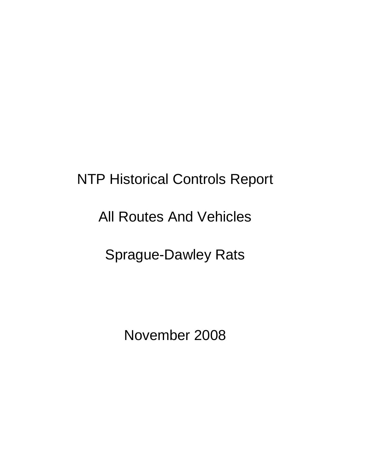# NTP Historical Controls Report

## All Routes And Vehicles

## Sprague-Dawley Rats

November 2008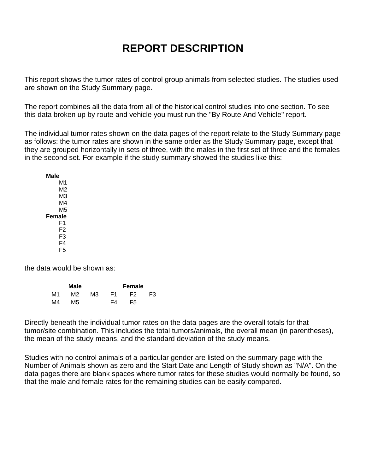## **REPORT DESCRIPTION**

This report shows the tumor rates of control group animals from selected studies. The studies used are shown on the Study Summary page.

The report combines all the data from all of the historical control studies into one section. To see this data broken up by route and vehicle you must run the "By Route And Vehicle" report.

The individual tumor rates shown on the data pages of the report relate to the Study Summary page as follows: the tumor rates are shown in the same order as the Study Summary page, except that they are grouped horizontally in sets of three, with the males in the first set of three and the females in the second set. For example if the study summary showed the studies like this:

**Male M1** M2 M3 M4 M5 **Female** F1 F2 F3 F4 F5

the data would be shown as:

|    | Male |    |     | Female |    |
|----|------|----|-----|--------|----|
| M1 | M2.  | MЗ | F1. | F2.    | F3 |
| M4 | M5   |    | F4  | F5     |    |

Directly beneath the individual tumor rates on the data pages are the overall totals for that tumor/site combination. This includes the total tumors/animals, the overall mean (in parentheses), the mean of the study means, and the standard deviation of the study means.

Studies with no control animals of a particular gender are listed on the summary page with the Number of Animals shown as zero and the Start Date and Length of Study shown as "N/A". On the data pages there are blank spaces where tumor rates for these studies would normally be found, so that the male and female rates for the remaining studies can be easily compared.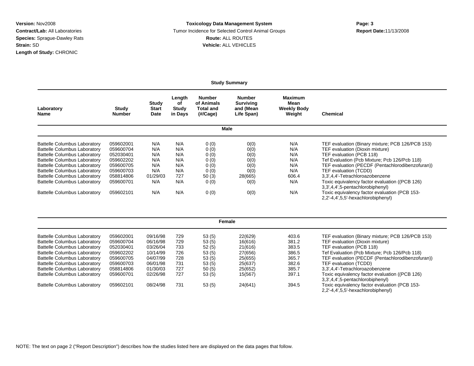#### **Version:** Nov2008 **Toxicology Data Management System Page: 3 Contract/Lab:** All Laboratories Tumor Incidence for Selected Control Animal Groups **Report Date:**11/13/2008 **Species:** Sprague-Dawley Rats **Route:** ALL ROUTES **Strain:** SD **Vehicle:** ALL VEHICLES

**Study Summary**

| Laboratory<br><b>Name</b>           | Study<br><b>Number</b> | Study<br><b>Start</b><br>Date | Length<br>оf<br>Study<br>in Days | <b>Number</b><br>of Animals<br><b>Total and</b><br>(H/Cage) | <b>Number</b><br><b>Surviving</b><br>and (Mean<br>Life Span) | <b>Maximum</b><br>Mean<br><b>Weekly Body</b><br>Weight | Chemical                                                                            |
|-------------------------------------|------------------------|-------------------------------|----------------------------------|-------------------------------------------------------------|--------------------------------------------------------------|--------------------------------------------------------|-------------------------------------------------------------------------------------|
|                                     |                        |                               |                                  |                                                             | Male                                                         |                                                        |                                                                                     |
| <b>Battelle Columbus Laboratory</b> | 059602001              | N/A                           | N/A                              | 0(0)                                                        | 0(0)                                                         | N/A                                                    | TEF evaluation (Binary mixture; PCB 126/PCB 153)                                    |
| <b>Battelle Columbus Laboratory</b> | 059600704              | N/A                           | N/A                              | 0(0)                                                        | 0(0)                                                         | N/A                                                    | TEF evaluation (Dioxin mixture)                                                     |
| <b>Battelle Columbus Laboratory</b> | 052030401              | N/A                           | N/A                              | 0(0)                                                        | 0(0)                                                         | N/A                                                    | TEF evaluation (PCB 118)                                                            |
| <b>Battelle Columbus Laboratory</b> | 059602202              | N/A                           | N/A                              | 0(0)                                                        | 0(0)                                                         | N/A                                                    | Tef Evaluation (Pcb Mixture; Pcb 126/Pcb 118)                                       |
| <b>Battelle Columbus Laboratory</b> | 059600705              | N/A                           | N/A                              | 0(0)                                                        | 0(0)                                                         | N/A                                                    | TEF evaluation (PECDF (Pentachlorodibenzofuran))                                    |
| <b>Battelle Columbus Laboratory</b> | 059600703              | N/A                           | N/A                              | 0(0)                                                        | O(0)                                                         | N/A                                                    | TEF evaluation (TCDD)                                                               |
| <b>Battelle Columbus Laboratory</b> | 058814806              | 01/29/03                      | 727                              | 50(3)                                                       | 28(665)                                                      | 606.4                                                  | 3.3'.4.4'-Tetrachloroazobenzene                                                     |
| <b>Battelle Columbus Laboratory</b> | 059600701              | N/A                           | N/A                              | 0(0)                                                        | 0(0)                                                         | N/A                                                    | Toxic equivalency factor evaluation ((PCB 126)<br>3,3',4,4',5-pentachlorobiphenyl)  |
| <b>Battelle Columbus Laboratory</b> | 059602101              | N/A                           | N/A                              | 0(0)                                                        | 0(0)                                                         | N/A                                                    | Toxic equivalency factor evaluation (PCB 153-<br>2,2'-4,4',5,5'-hexachlorobiphenyl) |
|                                     |                        |                               |                                  |                                                             |                                                              |                                                        |                                                                                     |
|                                     |                        |                               |                                  |                                                             | Female                                                       |                                                        |                                                                                     |

| Battelle Columbus Laboratory        | 059602001 | 09/16/98 | 729 | 53(5) | 22(629) | 403.6 | TEF evaluation (Binary mixture; PCB 126/PCB 153) |
|-------------------------------------|-----------|----------|-----|-------|---------|-------|--------------------------------------------------|
| <b>Battelle Columbus Laboratory</b> | 059600704 | 06/16/98 | 729 | 53(5) | 16(616) | 381.2 | TEF evaluation (Dioxin mixture)                  |
| <b>Battelle Columbus Laboratory</b> | 052030401 | 03/26/04 | 733 | 52(5) | 21(616) | 383.5 | TEF evaluation (PCB 118)                         |
| <b>Battelle Columbus Laboratory</b> | 059602202 | 10/14/99 | 726 | 53(5) | 27(656) | 386.5 | Tef Evaluation (Pcb Mixture; Pcb 126/Pcb 118)    |
| <b>Battelle Columbus Laboratory</b> | 059600705 | 04/07/99 | 728 | 53(5) | 25(655) | 365.7 | TEF evaluation (PECDF (Pentachlorodibenzofuran)) |
| <b>Battelle Columbus Laboratory</b> | 059600703 | 06/01/98 | 731 | 53(5) | 25(637) | 382.6 | TEF evaluation (TCDD)                            |
| <b>Battelle Columbus Laboratory</b> | 058814806 | 01/30/03 | 727 | 50(5) | 25(652) | 385.7 | 3,3',4,4'-Tetrachloroazobenzene                  |
| <b>Battelle Columbus Laboratory</b> | 059600701 | 02/26/98 | 727 | 53(5) | 15(567) | 397.1 | Toxic equivalency factor evaluation ((PCB 126)   |
|                                     |           |          |     |       |         |       | 3.3',4,4',5-pentachlorobiphenyl)                 |
| Battelle Columbus Laboratory        | 059602101 | 08/24/98 | 731 | 53(5) | 24(641) | 394.5 | Toxic equivalency factor evaluation (PCB 153-    |
|                                     |           |          |     |       |         |       | 2,2'-4,4',5,5'-hexachlorobiphenyl)               |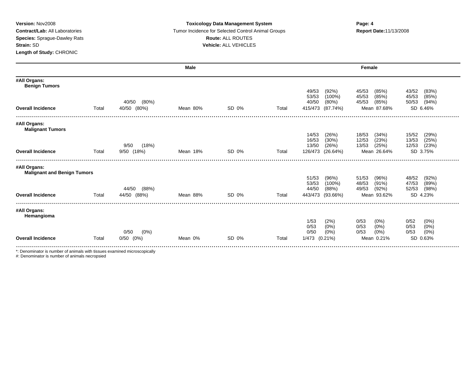### **Version:** Nov2008 **Toxicology Data Management System Page: 4 Contract/Lab:** All Laboratories **Tumor Incidence for Selected Control Animal Groups <b>Report Date:**11/13/2008 **Species:** Sprague-Dawley Rats **Route:** ALL ROUTES **Strain:** SD **Vehicle:** ALL VEHICLES

|                                         |       |                   | Male     |       |       |                                      | Female                           |                                 |
|-----------------------------------------|-------|-------------------|----------|-------|-------|--------------------------------------|----------------------------------|---------------------------------|
| #All Organs:<br><b>Benign Tumors</b>    |       |                   |          |       |       |                                      |                                  |                                 |
|                                         |       |                   |          |       |       | 49/53<br>(92%)                       | 45/53<br>(85%)                   | 43/52<br>(83%)                  |
|                                         |       |                   |          |       |       | 53/53<br>$(100\%)$                   | 45/53<br>(85%)                   | (85%)<br>45/53                  |
|                                         |       | $(80\%)$<br>40/50 |          |       |       | 40/50<br>$(80\%)$                    | 45/53<br>(85%)                   | (94%)<br>50/53                  |
| <b>Overall Incidence</b>                | Total | 40/50<br>$(80\%)$ | Mean 80% | SD 0% | Total | 415/473<br>(87.74%)                  | Mean 87.68%                      | SD 6.46%                        |
| #All Organs:<br><b>Malignant Tumors</b> |       |                   |          |       |       |                                      |                                  |                                 |
|                                         |       |                   |          |       |       | 14/53<br>(26%)                       | 18/53<br>(34%)                   | 15/52<br>(29%)                  |
|                                         |       |                   |          |       |       | 16/53<br>(30%)                       | 12/53<br>(23%)                   | 13/53<br>(25%)                  |
|                                         |       | (18%)<br>9/50     |          |       |       | 13/50<br>(26%)                       | 13/53<br>(25%)                   | 12/53<br>(23%)                  |
| <b>Overall Incidence</b>                | Total | 9/50 (18%)        | Mean 18% | SD 0% | Total | 126/473<br>(26.64%)                  | Mean 26.64%                      | SD 3.75%                        |
| #All Organs:                            |       |                   |          |       |       |                                      |                                  |                                 |
| <b>Malignant and Benign Tumors</b>      |       |                   |          |       |       |                                      |                                  |                                 |
|                                         |       |                   |          |       |       | 51/53<br>(96%)<br>53/53<br>$(100\%)$ | 51/53<br>(96%)<br>48/53<br>(91%) | 48/52<br>(92%)<br>47/53<br>(89% |
|                                         |       | (88%)<br>44/50    |          |       |       | 44/50<br>(88%)                       | (92%)<br>49/53                   | 52/53<br>(98%)                  |
| <b>Overall Incidence</b>                | Total | 44/50 (88%)       | Mean 88% | SD 0% | Total | 443/473<br>$(93.66\%)$               | Mean 93.62%                      | SD 4.23%                        |
|                                         |       |                   |          |       |       |                                      |                                  |                                 |
| #All Organs:<br>Hemangioma              |       |                   |          |       |       |                                      |                                  |                                 |
|                                         |       |                   |          |       |       | 1/53<br>(2%)                         | 0/53<br>$(0\%)$                  | 0/52<br>$(0\%)$                 |
|                                         |       |                   |          |       |       | 0/53<br>$(0\%)$                      | 0/53<br>(0%)                     | (0%)<br>0/53                    |
|                                         |       | $(0\%)$<br>0/50   |          |       |       | 0/50<br>$(0\%)$                      | $(0\%)$<br>0/53                  | $(0\%)$<br>0/53                 |
| <b>Overall Incidence</b>                | Total | $(0\%)$<br>0/50   | Mean 0%  | SD 0% | Total | 1/473<br>$(0.21\%)$                  | Mean 0.21%                       | SD 0.63%                        |
|                                         |       |                   |          |       |       |                                      |                                  |                                 |

\*: Denominator is number of animals with tissues examined microscopically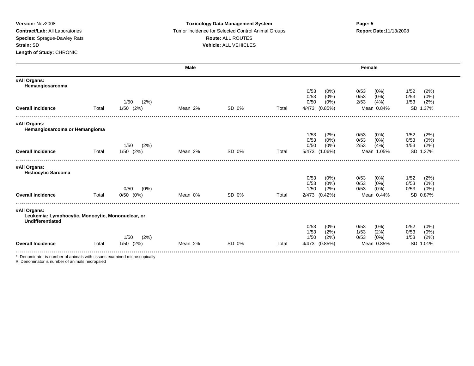### **Version:** Nov2008 **Page: 5 Toxicology Data Management System Page: 5 Page: 5 Contract/Lab:** All Laboratories **Tumor Incidence for Selected Control Animal Groups <b>Report Date:**11/13/2008 **Species:** Sprague-Dawley Rats **Route:** ALL ROUTES **Strain:** SD **Vehicle:** ALL VEHICLES

|                                                                           |       |                 | <b>Male</b> |       |       |                              | Female                          |                                 |
|---------------------------------------------------------------------------|-------|-----------------|-------------|-------|-------|------------------------------|---------------------------------|---------------------------------|
| #All Organs:<br>Hemangiosarcoma                                           |       |                 |             |       |       |                              |                                 |                                 |
|                                                                           |       |                 |             |       |       | 0/53<br>(0%)<br>0/53<br>(0%) | 0/53<br>(0%)<br>$(0\%)$<br>0/53 | 1/52<br>(2%)<br>(0%)<br>0/53    |
|                                                                           |       | (2%)<br>1/50    |             |       |       | 0/50<br>$(0\%)$              | 2/53<br>(4% )                   | 1/53<br>(2%)                    |
| <b>Overall Incidence</b>                                                  | Total | $1/50$ $(2%)$   | Mean 2%     | SD 0% | Total | (0.85%)<br>4/473             | Mean 0.84%                      | <b>SD</b><br>1.37%              |
| #All Organs:                                                              |       |                 |             |       |       |                              |                                 |                                 |
| Hemangiosarcoma or Hemangioma                                             |       |                 |             |       |       | 1/53<br>(2%)                 | 0/53<br>$(0\%)$                 | 1/52<br>(2%)                    |
|                                                                           |       |                 |             |       |       | 0/53<br>$(0\%)$              | $(0\%)$<br>0/53                 | 0/53<br>(0%)                    |
|                                                                           |       | 1/50<br>(2%)    |             |       |       | 0/50<br>$(0\%)$              | 2/53<br>(4%)                    | (2%)<br>1/53                    |
| <b>Overall Incidence</b>                                                  | Total | $1/50$ $(2%)$   | Mean 2%     | SD 0% | Total | 5/473 (1.06%)                | Mean 1.05%                      | 1.37%<br><b>SD</b>              |
| #All Organs:<br><b>Histiocytic Sarcoma</b>                                |       |                 |             |       |       |                              |                                 |                                 |
|                                                                           |       |                 |             |       |       | 0/53<br>(0%)<br>0/53<br>(0%) | 0/53<br>(0%)<br>(0%<br>0/53     | 1/52<br>(2%)<br>$(0\%)$<br>0/53 |
|                                                                           |       | 0/50<br>$(0\%)$ |             |       |       | 1/50<br>(2%)                 | (0%)<br>0/53                    | (0%)<br>0/53                    |
| <b>Overall Incidence</b>                                                  | Total | $0/50$ $(0%)$   | Mean 0%     | SD 0% | Total | 2/473 (0.42%)                | Mean 0.44%                      | SD 0.87%                        |
| #All Organs:<br>Leukemia: Lymphocytic, Monocytic, Mononuclear, or         |       |                 |             |       |       |                              |                                 |                                 |
| <b>Undifferentiated</b>                                                   |       |                 |             |       |       | 0/53<br>(0%)                 | 0/53<br>(0%)                    | 0/52<br>(0%)                    |
|                                                                           |       |                 |             |       |       | 1/53<br>(2%)                 | 1/53<br>(2%)                    | (0%)<br>0/53                    |
|                                                                           |       | (2%)<br>1/50    |             |       |       | 1/50<br>(2%)                 | (0%)<br>0/53                    | (2%)<br>1/53                    |
| <b>Overall Incidence</b>                                                  | Total | $1/50$ $(2%)$   | Mean 2%     | SD 0% | Total | 4/473 (0.85%)                | Mean 0.85%                      | <b>SD</b><br>1.01%              |
|                                                                           |       |                 |             |       |       |                              |                                 |                                 |
| *: Denominator is number of animals with tissues examined microscopically |       |                 |             |       |       |                              |                                 |                                 |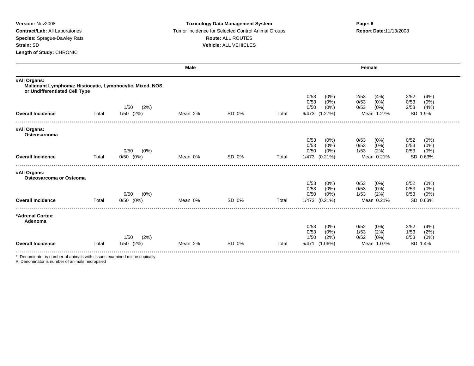### **Version:** Nov2008 **Toxicology Data Management System Page: 6 Contract/Lab:** All Laboratories **Tumor Incidence for Selected Control Animal Groups <b>Report Date:**11/13/2008 **Species:** Sprague-Dawley Rats **Route:** ALL ROUTES **Strain:** SD **Vehicle:** ALL VEHICLES

|                                                                                                            |       |                               | Male    |       |       |                                                       | Female                                             |                                              |
|------------------------------------------------------------------------------------------------------------|-------|-------------------------------|---------|-------|-------|-------------------------------------------------------|----------------------------------------------------|----------------------------------------------|
| #All Organs:<br>Malignant Lymphoma: Histiocytic, Lymphocytic, Mixed, NOS,<br>or Undifferentiated Cell Type |       |                               |         |       |       |                                                       |                                                    |                                              |
|                                                                                                            |       |                               |         |       |       | 0/53<br>$(0\%)$<br>0/53<br>(0%                        | 2/53<br>(4%)<br>0/53<br>(0%)                       | 2/52<br>(4%)<br>0/53<br>(0%)                 |
| <b>Overall Incidence</b>                                                                                   | Total | (2%)<br>1/50<br>$1/50$ $(2%)$ | Mean 2% | SD 0% | Total | 0/50<br>$(0\%)$<br>6/473 (1.27%)                      | 0/53<br>$(0\%)$<br>Mean 1.27%                      | 2/53<br>(4%)<br><b>SD</b><br>1.9%            |
| #All Organs:<br>Osteosarcoma                                                                               |       |                               |         |       |       |                                                       |                                                    |                                              |
|                                                                                                            |       | $(0\%)$<br>0/50               |         |       |       | 0/53<br>$(0\%)$<br>0/53<br>$(0\%)$<br>0/50<br>$(0\%)$ | 0/53<br>$(0\%)$<br>$(0\%)$<br>0/53<br>(2%)<br>1/53 | 0/52<br>(0%)<br>0/53<br>(0%)<br>(0%)<br>0/53 |
| <b>Overall Incidence</b>                                                                                   | Total | $0/50$ $(0%)$                 | Mean 0% | SD 0% | Total | 1/473 (0.21%)                                         | Mean 0.21%                                         | SD 0.63%                                     |
| #All Organs:<br>Osteosarcoma or Osteoma                                                                    |       |                               |         |       |       | 0/53<br>(0%)<br>0/53<br>$(0\%)$                       | 0/53<br>$(0\%)$<br>(0%<br>0/53                     | 0/52<br>$(0\%)$<br>0/53<br>(0%)              |
|                                                                                                            |       | (0%)<br>0/50                  |         |       |       | 0/50<br>(0%)                                          | (2%)<br>1/53                                       | 0/53<br>(0%)                                 |
| <b>Overall Incidence</b>                                                                                   | Total | $0/50$ $(0%)$                 | Mean 0% | SD 0% | Total | 1/473<br>$(0.21\%)$                                   | Mean 0.21%                                         | SD 0.63%                                     |
| *Adrenal Cortex:<br>Adenoma                                                                                |       |                               |         |       |       |                                                       |                                                    |                                              |
|                                                                                                            |       | (2%)<br>1/50                  |         |       |       | 0/53<br>(0%)<br>0/53<br>$(0\%)$<br>1/50<br>(2%)       | 0/52<br>$(0\%)$<br>(2%)<br>1/53<br>0/52<br>(0%)    | 2/52<br>(4%)<br>1/53<br>(2%)<br>0/53<br>(0%) |
| <b>Overall Incidence</b>                                                                                   | Total | $1/50$ $(2%)$                 | Mean 2% | SD 0% | Total | 5/471 (1.06%)                                         | Mean 1.07%                                         | 1.4%<br><b>SD</b>                            |
| *: Denominator is number of animals with tissues examined microscopically                                  |       |                               |         |       |       |                                                       |                                                    |                                              |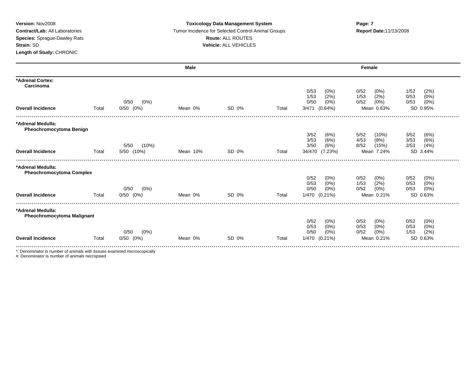### **Version:** Nov2008 **Toxicology Data Management System Page: 7 Contract/Lab:** All Laboratories **Tumor Incidence for Selected Control Animal Groups <b>Report Date:**11/13/2008 **Species:** Sprague-Dawley Rats **Route:** ALL ROUTES **Strain:** SD **Vehicle:** ALL VEHICLES

|                                                        |       |               | Male     |       |       |                     | Female          |               |
|--------------------------------------------------------|-------|---------------|----------|-------|-------|---------------------|-----------------|---------------|
| *Adrenal Cortex:<br>Carcinoma                          |       |               |          |       |       |                     |                 |               |
|                                                        |       |               |          |       |       | 0/53<br>$(0\%)$     | 0/52<br>$(0\%)$ | (2%)<br>1/52  |
|                                                        |       |               |          |       |       | (2%)<br>1/53        | (2%)<br>1/53    | (0%)<br>0/53  |
|                                                        |       | 0/50<br>(0%)  |          |       |       | 0/50<br>$(0\%)$     | (0%)<br>0/52    | (0%)<br>0/53  |
| <b>Overall Incidence</b>                               | Total | $0/50$ $(0%)$ | Mean 0%  | SD 0% | Total | 3/471<br>$(0.64\%)$ | Mean 0.63%      | SD 0.95%      |
| *Adrenal Medulla:<br><b>Pheochromocytoma Benign</b>    |       |               |          |       |       |                     |                 |               |
|                                                        |       |               |          |       |       | 3/52<br>(6%)        | 5/52<br>(10%)   | 3/52<br>(6%)  |
|                                                        |       |               |          |       |       | (6%)<br>3/53        | 4/53<br>(8%)    | 3/53<br>(6%)  |
|                                                        |       | (10%)<br>5/50 |          |       |       | 3/50<br>(6%)        | 8/52<br>(15%)   | 2/53<br>(4% ) |
| <b>Overall Incidence</b>                               | Total | 5/50<br>(10%) | Mean 10% | SD 0% | Total | 34/470<br>(7.23%)   | Mean 7.24%      | SD 3.44%      |
| *Adrenal Medulla:<br><b>Pheochromocytoma Complex</b>   |       |               |          |       |       |                     |                 |               |
|                                                        |       |               |          |       |       | 0/52<br>$(0\%)$     | 0/52<br>(0%)    | 0/52<br>(0%)  |
|                                                        |       |               |          |       |       | 0/53<br>$(0\%)$     | 1/53<br>(2%)    | 0/53<br>(0%)  |
|                                                        |       | (0%)<br>0/50  |          |       |       | 0/50<br>(0%)        | 0/52<br>(0%)    | (0%)<br>0/53  |
| <b>Overall Incidence</b>                               | Total | $0/50$ $(0%)$ | Mean 0%  | SD 0% | Total | 1/470 (0.21%)       | Mean 0.21%      | SD 0.63%      |
| *Adrenal Medulla:<br><b>Pheochromocytoma Malignant</b> |       |               |          |       |       |                     |                 |               |
|                                                        |       |               |          |       |       | 0/52<br>$(0\%)$     | 0/52<br>$(0\%)$ | 0/52<br>(0%)  |
|                                                        |       |               |          |       |       | 0/53<br>(0%)        | 0/53<br>$(0\%)$ | 0/53<br>(0%)  |
|                                                        |       | 0/50<br>(0%)  |          |       |       | 0/50<br>(0%)        | (0%)<br>0/52    | (2%)<br>1/53  |
| <b>Overall Incidence</b>                               | Total | $0/50$ $(0%)$ | Mean 0%  | SD 0% | Total | 1/470 (0.21%)       | Mean 0.21%      | SD 0.63%      |
|                                                        |       |               |          |       |       |                     |                 |               |

\*: Denominator is number of animals with tissues examined microscopically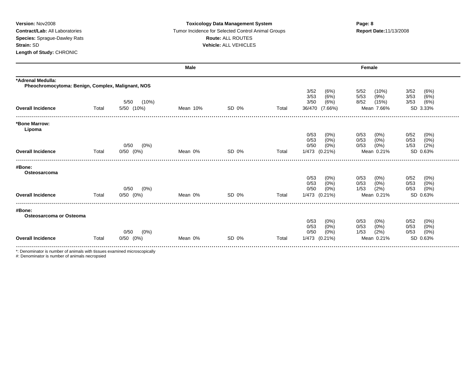### **Version:** Nov2008 **Toxicology Data Management System Page: 8 Contract/Lab:** All Laboratories **Tumor Incidence for Selected Control Animal Groups <b>Report Date:**11/13/2008 **Species:** Sprague-Dawley Rats **Route:** ALL ROUTES **Strain:** SD **Vehicle:** ALL VEHICLES

|                                                                        |       |                 | Male     |       |       |                                 | Female                             |                                      |
|------------------------------------------------------------------------|-------|-----------------|----------|-------|-------|---------------------------------|------------------------------------|--------------------------------------|
| *Adrenal Medulla:<br>Pheochromocytoma: Benign, Complex, Malignant, NOS |       |                 |          |       |       |                                 |                                    |                                      |
|                                                                        |       |                 |          |       |       | 3/52<br>(6%)<br>3/53<br>(6%)    | 5/52<br>(10%)<br>5/53<br>(9%)      | 3/52<br>(6%)<br>(6%)<br>3/53         |
|                                                                        |       | (10%)<br>5/50   |          |       |       | (6%)<br>3/50                    | 8/52<br>(15%)                      | (6%)<br>3/53                         |
| <b>Overall Incidence</b>                                               | Total | 5/50 (10%)      | Mean 10% | SD 0% | Total | 36/470<br>(7.66%)               | Mean 7.66%                         | SD 3.33%                             |
| *Bone Marrow:<br>Lipoma                                                |       |                 |          |       |       |                                 |                                    |                                      |
|                                                                        |       |                 |          |       |       | 0/53<br>$(0\%)$<br>(0%<br>0/53  | 0/53<br>$(0\%)$<br>$(0\%)$<br>0/53 | 0/52<br>(0%<br>(0%)<br>0/53          |
|                                                                        |       | 0/50<br>$(0\%)$ |          |       |       | 0/50<br>$(0\%)$                 | 0/53<br>$(0\%)$                    | (2%)<br>1/53                         |
| <b>Overall Incidence</b>                                               | Total | $0/50$ $(0%)$   | Mean 0%  | SD 0% | Total | 1/473 (0.21%)                   | Mean 0.21%                         | SD 0.63%                             |
| #Bone:<br>Osteosarcoma                                                 |       |                 |          |       |       |                                 |                                    |                                      |
|                                                                        |       |                 |          |       |       | 0/53<br>$(0\%)$                 | 0/53<br>$(0\%)$                    | 0/52<br>$(0\%)$                      |
|                                                                        |       |                 |          |       |       | 0/53<br>$(0\%)$                 | 0/53<br>$(0\%)$                    | (0%)<br>0/53                         |
| <b>Overall Incidence</b>                                               | Total | $0/50$ $(0%)$   | Mean 0%  | SD 0% | Total | 1/473 (0.21%)                   | Mean 0.21%                         | SD 0.63%                             |
|                                                                        |       |                 |          |       |       |                                 |                                    |                                      |
| #Bone:<br>Osteosarcoma or Osteoma                                      |       |                 |          |       |       |                                 |                                    |                                      |
|                                                                        |       |                 |          |       |       | 0/53<br>$(0\%)$                 | 0/53<br>$(0\%)$                    | $(0\%)$                              |
|                                                                        |       | 0/50<br>$(0\%)$ |          |       |       | 0/50<br>$(0\%)$                 | (2%)<br>1/53                       | (0%)<br>0/53                         |
| <b>Overall Incidence</b>                                               | Total | $0/50$ $(0%)$   | Mean 0%  | SD 0% | Total | 1/473<br>$(0.21\%)$             | Mean 0.21%                         | SD 0.63%                             |
|                                                                        |       | 0/50<br>$(0\%)$ |          |       |       | 0/50<br>(0%)<br>$(0\%)$<br>0/53 | (2%)<br>1/53<br>0/53<br>$(0\%)$    | (0%)<br>0/53<br>0/52<br>(0%)<br>0/53 |

\*: Denominator is number of animals with tissues examined microscopically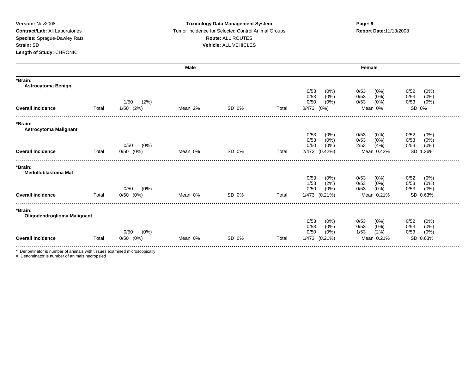### **Version:** Nov2008 **Toxicology Data Management System Page: 9 Contract/Lab:** All Laboratories **Tumor Incidence for Selected Control Animal Groups <b>Report Date:**11/13/2008 **Species:** Sprague-Dawley Rats **Route:** ALL ROUTES **Strain:** SD **Vehicle:** ALL VEHICLES

|                                         |       |                 | <b>Male</b> |       |       | Female                          |                                  |                                 |  |  |
|-----------------------------------------|-------|-----------------|-------------|-------|-------|---------------------------------|----------------------------------|---------------------------------|--|--|
| *Brain:<br><b>Astrocytoma Benign</b>    |       |                 |             |       |       |                                 |                                  |                                 |  |  |
|                                         |       |                 |             |       |       | 0/53<br>$(0\%)$<br>0/53<br>(0%) | 0/53<br>(0%<br>0/53<br>$(0\%)$   | (0%)<br>0/52<br>(0% )<br>0/53   |  |  |
|                                         |       | 1/50<br>(2%)    |             |       |       | 0/50<br>$(0\%)$                 | 0/53<br>(0%)                     | (0%)<br>0/53                    |  |  |
| <b>Overall Incidence</b>                | Total | $1/50$ $(2%)$   | Mean 2%     | SD 0% | Total | $0/473$ $(0%)$                  | Mean 0%                          | SD 0%                           |  |  |
| *Brain:<br><b>Astrocytoma Malignant</b> |       |                 |             |       |       |                                 |                                  |                                 |  |  |
|                                         |       |                 |             |       |       | 0/53<br>(0%)                    | 0/53<br>$(0\%)$                  | 0/52<br>(0%)                    |  |  |
|                                         |       | 0/50<br>$(0\%)$ |             |       |       | 0/53<br>(0%)<br>0/50<br>(0%)    | 0/53<br>$(0\%)$<br>2/53<br>(4% ) | 0/53<br>(0%)<br>$(0\%)$<br>0/53 |  |  |
| <b>Overall Incidence</b>                | Total | $0/50$ $(0%)$   | Mean 0%     | SD 0% | Total | 2/473 (0.42%)                   | Mean 0.42%                       | <b>SD</b><br>.26%               |  |  |
| *Brain:                                 |       |                 |             |       |       |                                 |                                  |                                 |  |  |
| <b>Medulloblastoma Mal</b>              |       |                 |             |       |       |                                 |                                  |                                 |  |  |
|                                         |       |                 |             |       |       | 0/53<br>(0%)<br>(2%)<br>1/53    | 0/53<br>(0%)<br>0/53<br>(0%)     | 0/52<br>(0%)<br>(0%)<br>0/53    |  |  |
|                                         |       | 0/50<br>$(0\%)$ |             |       |       | 0/50<br>(0%)                    | 0/53<br>(0%)                     | $(0\%)$<br>0/53                 |  |  |
| <b>Overall Incidence</b>                | Total | $0/50$ $(0%)$   | Mean 0%     | SD 0% | Total | 1/473 (0.21%)                   | Mean 0.21%                       | SD 0.63%                        |  |  |
| *Brain:<br>Oligodendroglioma Malignant  |       |                 |             |       |       |                                 |                                  |                                 |  |  |
|                                         |       |                 |             |       |       | 0/53<br>(0%)                    | 0/53<br>(0%)                     | 0/52<br>(0%)                    |  |  |
|                                         |       | 0/50<br>(0%)    |             |       |       | 0/53<br>$(0\%)$<br>0/50<br>(0%) | $(0\%)$<br>0/53<br>1/53<br>(2%)  | (0%)<br>0/53<br>0/53            |  |  |
| <b>Overall Incidence</b>                | Total | $(0\%)$<br>0/50 | Mean 0%     | SD 0% | Total | 1/473 (0.21%)                   | Mean 0.21%                       | $(0\%)$<br>SD 0.63%             |  |  |
|                                         |       |                 |             |       |       |                                 |                                  |                                 |  |  |

\*: Denominator is number of animals with tissues examined microscopically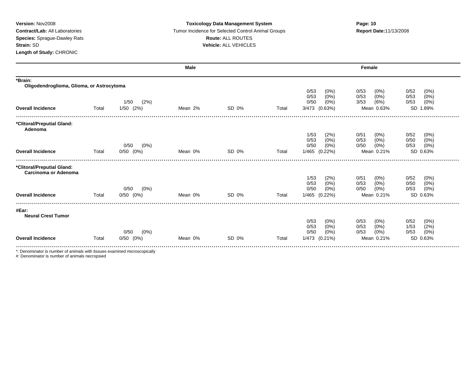### **Version:** Nov2008 **Toxicology Data Management System Page: 10 Contract/Lab:** All Laboratories Tumor Incidence for Selected Control Animal Groups **Report Date:**11/13/2008 **Species:** Sprague-Dawley Rats **Route:** ALL ROUTES **Strain:** SD **Vehicle:** ALL VEHICLES

|                                                      |       |                 | <b>Male</b> |       |       |                                    | Female                             |                                 |
|------------------------------------------------------|-------|-----------------|-------------|-------|-------|------------------------------------|------------------------------------|---------------------------------|
| *Brain:<br>Oligodendroglioma, Glioma, or Astrocytoma |       |                 |             |       |       |                                    |                                    |                                 |
|                                                      |       |                 |             |       |       | 0/53<br>(0%)<br>0/53<br>$(0\%)$    | 0/53<br>$(0\%)$<br>(0%)<br>0/53    | 0/52<br>$(0\%)$<br>(0%)<br>0/53 |
|                                                      |       | (2%)<br>1/50    |             |       |       | 0/50<br>(0%)                       | 3/53<br>(6%)                       | (0%)<br>0/53                    |
| <b>Overall Incidence</b>                             | Total | $1/50$ $(2%)$   | Mean 2%     | SD 0% | Total | 3/473 (0.63%)                      | Mean 0.63%                         | SD 1.89%                        |
| *Clitoral/Preputial Gland:<br>Adenoma                |       |                 |             |       |       |                                    |                                    |                                 |
|                                                      |       |                 |             |       |       | 1/53<br>(2%)                       | 0/51<br>$(0\%)$                    | 0/52<br>(0%)                    |
|                                                      |       | 0/50<br>(0%)    |             |       |       | (0%)<br>0/53<br>0/50<br>$(0\%)$    | 0/53<br>$(0\%)$<br>0/50<br>$(0\%)$ | 0/50<br>$(0\%)$<br>(0%)<br>0/53 |
| <b>Overall Incidence</b>                             | Total | $0/50$ $(0%)$   | Mean 0%     | SD 0% | Total | 1/465 (0.22%)                      | Mean 0.21%                         | SD 0.63%                        |
| *Clitoral/Preputial Gland:                           |       |                 |             |       |       |                                    |                                    |                                 |
| Carcinoma or Adenoma                                 |       |                 |             |       |       | 1/53<br>(2%)                       | 0/51<br>$(0\%)$                    | 0/52<br>(0%)                    |
|                                                      |       |                 |             |       |       | $(0\%)$<br>0/53                    | $(0\%)$<br>0/53                    | 0/50<br>(0%)                    |
|                                                      |       | $(0\%)$<br>0/50 |             |       |       | 0/50<br>$(0\%)$                    | 0/50<br>(0%)                       | (0%)<br>0/53                    |
| <b>Overall Incidence</b>                             | Total | $0/50$ $(0%)$   | Mean 0%     | SD 0% | Total | 1/465 (0.22%)                      | Mean 0.21%                         | SD 0.63%                        |
| #Ear:<br><b>Neural Crest Tumor</b>                   |       |                 |             |       |       |                                    |                                    |                                 |
|                                                      |       |                 |             |       |       | 0/53<br>$(0\%)$                    | 0/53<br>$(0\%)$                    | 0/52<br>(0%)                    |
|                                                      |       | (0%)<br>0/50    |             |       |       | 0/53<br>$(0\%)$<br>0/50<br>$(0\%)$ | $(0\%)$<br>0/53<br>$(0\%)$<br>0/53 | (2%)<br>1/53                    |
| <b>Overall Incidence</b>                             | Total | $0/50$ $(0%)$   | Mean 0%     | SD 0% | Total | 1/473 (0.21%)                      | Mean 0.21%                         | (0%)<br>0/53<br>SD 0.63%        |
|                                                      |       |                 |             |       |       |                                    |                                    |                                 |

\*: Denominator is number of animals with tissues examined microscopically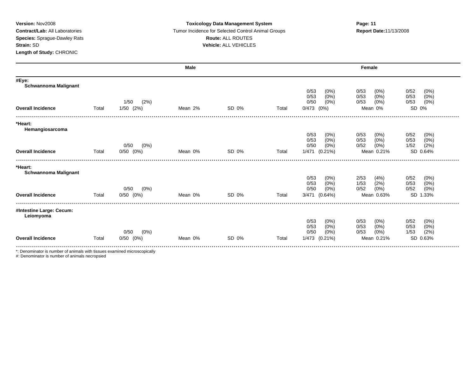#### **Version:** Nov2008 **Toxicology Data Management System Page: 11 Contract/Lab:** All Laboratories **Tumor Incidence for Selected Control Animal Groups <b>Report Date:**11/13/2008 **Species:** Sprague-Dawley Rats **Route:** ALL ROUTES **Strain:** SD **Vehicle:** ALL VEHICLES

|                                        |       |                 | Male    |       |       |                                                | Female                                             |                                                 |
|----------------------------------------|-------|-----------------|---------|-------|-------|------------------------------------------------|----------------------------------------------------|-------------------------------------------------|
| #Eye:<br><b>Schwannoma Malignant</b>   |       |                 |         |       |       | 0/53<br>$(0\%)$                                | 0/53<br>$(0\%)$                                    | 0/52<br>(0%)                                    |
|                                        |       | (2%)<br>1/50    |         |       |       | 0/53<br>$(0\%)$<br>$(0\%)$<br>0/50             | $(0\%)$<br>0/53<br>(0%)<br>0/53                    | (0% )<br>0/53<br>$(0\%)$<br>0/53                |
| <b>Overall Incidence</b>               | Total | $1/50$ $(2%)$   | Mean 2% | SD 0% | Total | 0/473<br>$(0\%)$                               | Mean 0%                                            | SD 0%                                           |
| *Heart:<br>Hemangiosarcoma             |       |                 |         |       |       |                                                |                                                    |                                                 |
|                                        |       | (0%)<br>0/50    |         |       |       | 0/53<br>$(0\%)$<br>(0%)<br>0/53<br>0/50<br>(0% | 0/53<br>$(0\%)$<br>(0%)<br>0/53<br>0/52<br>$(0\%)$ | 0/52<br>$(0\%)$<br>(0%)<br>0/53<br>(2%)<br>1/52 |
| <b>Overall Incidence</b>               | Total | $0/50$ $(0%)$   | Mean 0% | SD 0% | Total | 1/471<br>$(0.21\%)$                            | Mean 0.21%                                         | SD 0.64%                                        |
| *Heart:<br><b>Schwannoma Malignant</b> |       |                 |         |       |       |                                                |                                                    |                                                 |
|                                        |       |                 |         |       |       | 0/53<br>$(0\%)$<br>0/53                        | (4% )<br>2/53                                      | 0/52<br>(0%)                                    |
|                                        |       | $(0\%)$<br>0/50 |         |       |       | $(0\%)$<br>$(0\%)$<br>0/50                     | 1/53<br>(2%)<br>0/52<br>$(0\%)$                    | (0%)<br>0/53<br>0/52<br>(0%)                    |
| <b>Overall Incidence</b>               | Total | $0/50$ $(0%)$   | Mean 0% | SD 0% | Total | 3/471 (0.64%)                                  | Mean 0.63%                                         | SD 1.33%                                        |
| #Intestine Large: Cecum:<br>Leiomyoma  |       |                 |         |       |       |                                                |                                                    |                                                 |
|                                        |       |                 |         |       |       | 0/53<br>$(0\%)$<br>0/53<br>(0%)                | 0/53<br>$(0\%)$<br>(0% )<br>0/53                   | 0/52<br>$(0\%)$<br>$(0\%)$<br>0/53              |
|                                        |       | $(0\%)$<br>0/50 |         |       |       | 0/50<br>$(0\%)$                                | (0%)<br>0/53                                       | (2%)<br>1/53                                    |
| <b>Overall Incidence</b>               | Total | $0/50$ $(0%)$   | Mean 0% | SD 0% | Total | 1/473<br>$(0.21\%)$                            | Mean 0.21%                                         | SD 0.63%                                        |

\*: Denominator is number of animals with tissues examined microscopically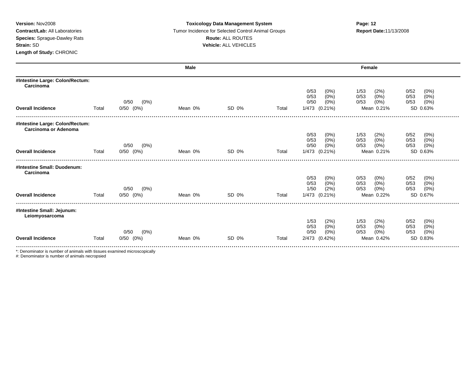### **Version:** Nov2008 **Toxicology Data Management System Page: 12 Contract/Lab:** All Laboratories **Tumor Incidence for Selected Control Animal Groups <b>Report Date:**11/13/2008 **Species:** Sprague-Dawley Rats **Route:** ALL ROUTES **Strain:** SD **Vehicle:** ALL VEHICLES

|                                                         | <b>Male</b> |                                  |         | Female |       |                                    |                                                                  |  |
|---------------------------------------------------------|-------------|----------------------------------|---------|--------|-------|------------------------------------|------------------------------------------------------------------|--|
| #Intestine Large: Colon/Rectum:<br>Carcinoma            |             |                                  |         |        |       |                                    |                                                                  |  |
|                                                         |             |                                  |         |        |       | 0/53<br>$(0\%)$<br>$(0\%)$<br>0/53 | 0/52<br>(0%)<br>1/53<br>(2%)<br>0/53<br>$(0\%)$<br>0/53<br>(0%)  |  |
|                                                         |             | 0/50<br>$(0\%)$                  |         |        |       | 0/50<br>(0%)                       | (0%)<br>0/53<br>0/53<br>(0%)                                     |  |
| <b>Overall Incidence</b>                                | Total       | $0/50$ $(0%)$                    | Mean 0% | SD 0%  | Total | 1/473 (0.21%)                      | SD 0.63%<br>Mean 0.21%                                           |  |
| #Intestine Large: Colon/Rectum:<br>Carcinoma or Adenoma |             |                                  |         |        |       |                                    |                                                                  |  |
|                                                         |             |                                  |         |        |       | 0/53<br>(0%)                       | 0/52<br>(0%)<br>1/53<br>(2%)                                     |  |
|                                                         |             | 0/50<br>$(0\%)$                  |         |        |       | 0/53<br>$(0\%)$<br>0/50<br>$(0\%)$ | (0%)<br>0/53<br>0/53<br>(0%)<br>(0%)<br>(0%)<br>0/53<br>0/53     |  |
| <b>Overall Incidence</b>                                | Total       | $0/50$ $(0%)$                    | Mean 0% | SD 0%  | Total | 1/473 (0.21%)                      | SD 0.63%<br>Mean 0.21%                                           |  |
| #Intestine Small: Duodenum:<br>Carcinoma                |             |                                  |         |        |       |                                    |                                                                  |  |
|                                                         |             |                                  |         |        |       | 0/53<br>$(0\%)$                    | 0/52<br>(0%)<br>0/53<br>(0%)                                     |  |
|                                                         |             |                                  |         |        |       | $(0\%)$<br>0/53                    | 0/53<br>(0%)<br>0/53<br>(0%)                                     |  |
| <b>Overall Incidence</b>                                | Total       | 0/50<br>$(0\%)$<br>$0/50$ $(0%)$ | Mean 0% | SD 0%  | Total | (2%)<br>1/50<br>1/473 (0.21%)      | 0/53<br>(0%)<br>0/53<br>(0%)<br>SD 0.67%<br>Mean 0.22%           |  |
|                                                         |             |                                  |         |        |       |                                    |                                                                  |  |
| #Intestine Small: Jejunum:<br>Leiomyosarcoma            |             |                                  |         |        |       |                                    |                                                                  |  |
|                                                         |             |                                  |         |        |       | 1/53<br>(2%)                       | 0/52<br>(0%)<br>1/53<br>(2%)                                     |  |
|                                                         |             | 0/50<br>$(0\%)$                  |         |        |       | $(0\%)$<br>0/53<br>0/50<br>$(0\%)$ | $(0\%)$<br>(0%)<br>0/53<br>0/53<br>(0% )<br>0/53<br>(0%)<br>0/53 |  |
| <b>Overall Incidence</b>                                | Total       | $0/50$ $(0%)$                    | Mean 0% | SD 0%  | Total | 2/473 (0.42%)                      | SD 0.83%<br>Mean 0.42%                                           |  |

\*: Denominator is number of animals with tissues examined microscopically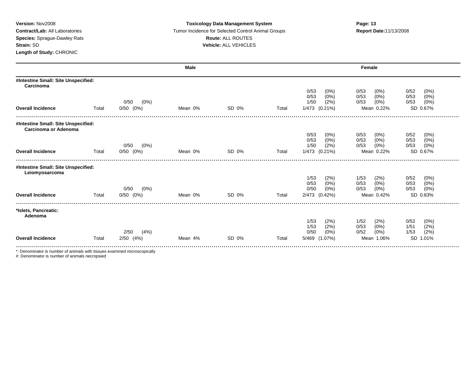### **Version:** Nov2008 **Toxicology Data Management System Page: 13 Contract/Lab:** All Laboratories Tumor Incidence for Selected Control Animal Groups **Report Date:**11/13/2008 **Species:** Sprague-Dawley Rats **Route:** ALL ROUTES **Strain:** SD **Vehicle:** ALL VEHICLES

|                                                             |       |                                  | Male    |       |       |                                    | Female                             |                              |
|-------------------------------------------------------------|-------|----------------------------------|---------|-------|-------|------------------------------------|------------------------------------|------------------------------|
| #Intestine Small: Site Unspecified:<br>Carcinoma            |       |                                  |         |       |       |                                    |                                    |                              |
|                                                             |       |                                  |         |       |       | 0/53<br>$(0\%)$<br>0/53<br>$(0\%)$ | 0/53<br>$(0\%)$                    | 0/52<br>(0%)<br>0/53         |
|                                                             |       | 0/50<br>$(0\%)$                  |         |       |       | 1/50<br>(2%)                       | $(0\%)$<br>0/53<br>(0%)<br>0/53    | (0%)<br>0/53<br>(0%)         |
| <b>Overall Incidence</b>                                    | Total | $0/50$ $(0%)$                    | Mean 0% | SD 0% | Total | 1/473 (0.21%)                      | Mean 0.22%                         | SD 0.67%                     |
| #Intestine Small: Site Unspecified:<br>Carcinoma or Adenoma |       |                                  |         |       |       |                                    |                                    |                              |
|                                                             |       |                                  |         |       |       | 0/53<br>(0%)                       | 0/53<br>$(0\%)$                    | 0/52<br>(0%)                 |
|                                                             |       |                                  |         |       |       | 0/53<br>(0%)                       | (0%)<br>0/53                       | 0/53<br>$(0\%)$              |
| <b>Overall Incidence</b>                                    | Total | 0/50<br>$(0\%)$<br>$0/50$ $(0%)$ | Mean 0% | SD 0% | Total | 1/50<br>(2%)<br>1/473 (0.21%)      | (0%)<br>0/53<br>Mean 0.22%         | $(0\%)$<br>0/53<br>SD 0.67%  |
|                                                             |       |                                  |         |       |       |                                    |                                    |                              |
| #Intestine Small: Site Unspecified:<br>Leiomyosarcoma       |       |                                  |         |       |       |                                    |                                    |                              |
|                                                             |       |                                  |         |       |       | 1/53<br>(2%)                       | (2%)<br>1/53                       | 0/52<br>(0%)                 |
|                                                             |       | 0/50                             |         |       |       | 0/53<br>(0%)<br>0/50<br>$(0\%)$    | $(0\%)$<br>0/53<br>$(0\%)$<br>0/53 | 0/53<br>(0%)<br>0/53<br>(0%) |
| <b>Overall Incidence</b>                                    | Total | (0%)<br>$0/50$ $(0%)$            | Mean 0% | SD 0% | Total | 2/473 (0.42%)                      | Mean 0.42%                         | SD 0.83%                     |
|                                                             |       |                                  |         |       |       |                                    |                                    |                              |
| *Islets, Pancreatic:<br>Adenoma                             |       |                                  |         |       |       |                                    |                                    |                              |
|                                                             |       |                                  |         |       |       | 1/53<br>(2%)                       | 1/52<br>(2%)                       | 0/52<br>(0%)                 |
|                                                             |       | (4%)<br>2/50                     |         |       |       | 1/53<br>(2%)<br>0/50<br>(0%)       | (0%)<br>0/53<br>$(0\%)$<br>0/52    | (2%)<br>1/51<br>(2%)<br>1/53 |
| <b>Overall Incidence</b>                                    | Total | $2/50$ $(4%)$                    | Mean 4% | SD 0% | Total | (1.07%)<br>5/469                   | Mean 1.06%                         | SD 1.01%                     |
|                                                             |       |                                  |         |       |       |                                    |                                    |                              |

\*: Denominator is number of animals with tissues examined microscopically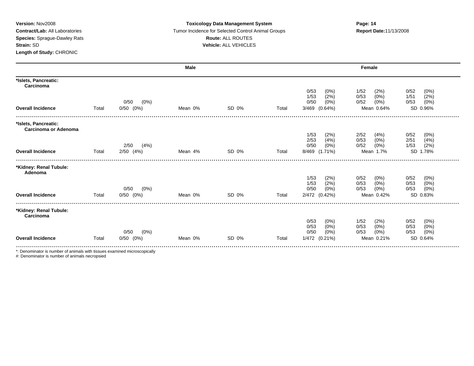#### **Version:** Nov2008 **Toxicology Data Management System Page: 14 Contract/Lab:** All Laboratories **Tumor Incidence for Selected Control Animal Groups <b>Report Date:**11/13/2008 **Species:** Sprague-Dawley Rats **Route:** ALL ROUTES **Strain:** SD **Vehicle:** ALL VEHICLES

|                                                     |       |                 | Male    |       |       |                                 | Female                       |                              |
|-----------------------------------------------------|-------|-----------------|---------|-------|-------|---------------------------------|------------------------------|------------------------------|
| *Islets, Pancreatic:<br>Carcinoma                   |       |                 |         |       |       |                                 |                              |                              |
|                                                     |       |                 |         |       |       | 0/53<br>$(0\%)$                 | 1/52<br>(2%)                 | 0/52<br>(0%)                 |
|                                                     |       | 0/50<br>$(0\%)$ |         |       |       | 1/53<br>(2%)<br>0/50<br>$(0\%)$ | 0/53<br>(0%)<br>(0%)<br>0/52 | (2%)<br>1/51<br>(0%)<br>0/53 |
| <b>Overall Incidence</b>                            | Total | $0/50$ $(0%)$   | Mean 0% | SD 0% | Total | 3/469 (0.64%)                   | Mean 0.64%                   | SD 0.96%                     |
|                                                     |       |                 |         |       |       |                                 |                              |                              |
| *Islets, Pancreatic:<br><b>Carcinoma or Adenoma</b> |       |                 |         |       |       |                                 |                              |                              |
|                                                     |       |                 |         |       |       | 1/53<br>(2%)                    | 2/52<br>(4% )                | 0/52<br>$(0\%)$              |
|                                                     |       |                 |         |       |       | 2/53<br>(4% )                   | $(0\%)$<br>0/53              | 2/51<br>(4%)                 |
|                                                     |       | (4%)<br>2/50    |         |       |       | 0/50<br>$(0\%)$                 | 0/52<br>$(0\%)$              | (2%)<br>1/53                 |
| <b>Overall Incidence</b>                            | Total | $2/50$ $(4%)$   | Mean 4% | SD 0% | Total | 8/469 (1.71%)                   | Mean 1.7%                    | SD 1.78%                     |
| *Kidney: Renal Tubule:<br>Adenoma                   |       |                 |         |       |       |                                 |                              |                              |
|                                                     |       |                 |         |       |       | 1/53<br>(2%)                    | 0/52<br>(0%)                 | 0/52<br>$(0\%)$              |
|                                                     |       |                 |         |       |       | 1/53<br>(2%)                    | 0/53<br>(0%)                 | 0/53<br>(0%)                 |
|                                                     |       | 0/50<br>$(0\%)$ |         |       |       | 0/50<br>$(0\%)$                 | (0%)<br>0/53                 | 0/53<br>$(0\%)$              |
| <b>Overall Incidence</b>                            | Total | $0/50$ $(0%)$   | Mean 0% | SD 0% | Total | 2/472 (0.42%)                   | Mean 0.42%                   | SD 0.83%                     |
| *Kidney: Renal Tubule:<br>Carcinoma                 |       |                 |         |       |       |                                 |                              |                              |
|                                                     |       |                 |         |       |       | 0/53<br>$(0\%)$                 | 1/52<br>(2%)                 | 0/52<br>(0%)                 |
|                                                     |       |                 |         |       |       | (0%)<br>0/53                    | (0%)<br>0/53                 | (0%)<br>0/53                 |
|                                                     |       | $(0\%)$<br>0/50 |         |       |       | 0/50<br>$(0\%)$                 | (0%)<br>0/53                 | (0%)<br>0/53                 |
| <b>Overall Incidence</b>                            | Total | (0%)<br>0/50    | Mean 0% | SD 0% | Total | 1/472 (0.21%)                   | Mean 0.21%                   | SD 0.64%                     |
|                                                     |       |                 |         |       |       |                                 |                              |                              |

\*: Denominator is number of animals with tissues examined microscopically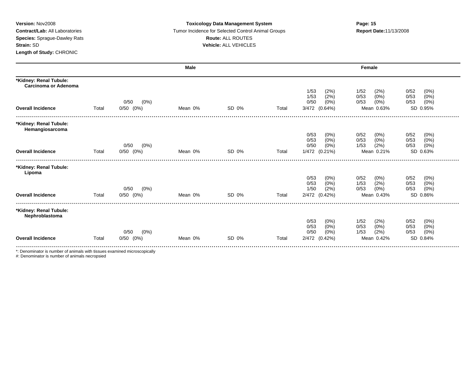#### **Version:** Nov2008 **Toxicology Data Management System Page: 15 Contract/Lab:** All Laboratories Tumor Incidence for Selected Control Animal Groups **Report Date:**11/13/2008 **Species:** Sprague-Dawley Rats **Route:** ALL ROUTES **Strain:** SD **Vehicle:** ALL VEHICLES

|                                                       |       |                                  | <b>Male</b> |       |       | Female                             |                                    |                              |  |  |
|-------------------------------------------------------|-------|----------------------------------|-------------|-------|-------|------------------------------------|------------------------------------|------------------------------|--|--|
| *Kidney: Renal Tubule:<br><b>Carcinoma or Adenoma</b> |       |                                  |             |       |       |                                    |                                    |                              |  |  |
|                                                       |       |                                  |             |       |       | 1/53<br>(2%)<br>1/53<br>(2%)       | 1/52<br>(2%)<br>0/53<br>$(0\%)$    | (0%)<br>0/52<br>0/53<br>(0%) |  |  |
| <b>Overall Incidence</b>                              | Total | $(0\%)$<br>0/50<br>$0/50$ $(0%)$ | Mean 0%     | SD 0% | Total | 0/50<br>(0%)<br>3/472 (0.64%)      | 0/53<br>$(0\%)$<br>Mean 0.63%      | 0/53<br>$(0\%)$<br>SD 0.95%  |  |  |
|                                                       |       |                                  |             |       |       |                                    |                                    |                              |  |  |
| *Kidney: Renal Tubule:<br>Hemangiosarcoma             |       |                                  |             |       |       |                                    |                                    |                              |  |  |
|                                                       |       |                                  |             |       |       | 0/53<br>$(0\%)$<br>$(0\%)$<br>0/53 | 0/52<br>$(0\%)$<br>0/53<br>$(0\%)$ | 0/52<br>(0%)<br>0/53<br>(0%) |  |  |
|                                                       |       | 0/50<br>$(0\%)$                  |             |       |       | 0/50<br>$(0\%)$                    | (2%)<br>1/53                       | $(0\%)$<br>0/53              |  |  |
| <b>Overall Incidence</b>                              | Total | $0/50$ $(0%)$                    | Mean 0%     | SD 0% | Total | 1/472 (0.21%)                      | Mean 0.21%                         | SD 0.63%                     |  |  |
| *Kidney: Renal Tubule:<br>Lipoma                      |       |                                  |             |       |       |                                    |                                    |                              |  |  |
|                                                       |       |                                  |             |       |       | 0/53<br>$(0\%)$                    | 0/52<br>(0%)                       | 0/52<br>(0%)                 |  |  |
|                                                       |       | 0/50<br>$(0\%)$                  |             |       |       | $(0\%)$<br>0/53<br>(2%)<br>1/50    | (2%)<br>1/53<br>0/53<br>$(0\%)$    | 0/53<br>(0%)<br>(0%)<br>0/53 |  |  |
| <b>Overall Incidence</b>                              | Total | $0/50$ $(0%)$                    | Mean 0%     | SD 0% | Total | 2/472 (0.42%)                      | Mean 0.43%                         | SD 0.86%                     |  |  |
| *Kidney: Renal Tubule:<br>Nephroblastoma              |       |                                  |             |       |       |                                    |                                    |                              |  |  |
|                                                       |       |                                  |             |       |       | 0/53<br>$(0\%)$                    | 1/52<br>(2%)                       | 0/52<br>(0%)                 |  |  |
|                                                       |       | (0%)<br>0/50                     |             |       |       | $(0\%)$<br>0/53<br>0/50<br>$(0\%)$ | (0%)<br>0/53<br>(2%)<br>1/53       | (0%)<br>0/53<br>(0%)<br>0/53 |  |  |
| <b>Overall Incidence</b>                              | Total | (0%)<br>0/50                     | Mean 0%     | SD 0% | Total | 2/472 (0.42%)                      | Mean 0.42%                         | SD 0.84%                     |  |  |

\*: Denominator is number of animals with tissues examined microscopically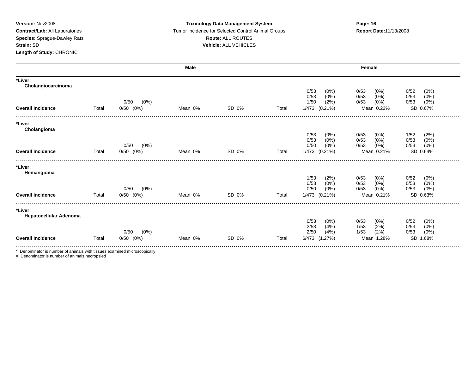#### **Version:** Nov2008 **Toxicology Data Management System Page: 16 Contract/Lab:** All Laboratories Tumor Incidence for Selected Control Animal Groups **Report Date:**11/13/2008 **Species:** Sprague-Dawley Rats **Route:** ALL ROUTES **Strain:** SD **Vehicle:** ALL VEHICLES

|                                          |       |                                  | Male    |       |       | Female                             |                                 |                                 |  |
|------------------------------------------|-------|----------------------------------|---------|-------|-------|------------------------------------|---------------------------------|---------------------------------|--|
| *Liver:<br>Cholangiocarcinoma            |       |                                  |         |       |       | 0/53<br>$(0\%)$                    | $(0\%)$<br>0/53                 | (0%)<br>0/52                    |  |
|                                          |       |                                  |         |       |       | 0/53<br>$(0\%)$                    | $(0\%)$<br>0/53                 | 0/53<br>(0%)                    |  |
| <b>Overall Incidence</b>                 | Total | $(0\%)$<br>0/50<br>$0/50$ $(0%)$ | Mean 0% | SD 0% | Total | 1/50<br>(2%)<br>1/473 (0.21%)      | 0/53<br>(0%)<br>Mean 0.22%      | $(0\%)$<br>0/53<br>SD 0.67%     |  |
| *Liver:<br>Cholangioma                   |       |                                  |         |       |       |                                    |                                 |                                 |  |
|                                          |       |                                  |         |       |       | 0/53<br>$(0\%)$                    | 0/53<br>(0%)                    | 1/52<br>(2%)                    |  |
|                                          |       | 0/50<br>$(0\%)$                  |         |       |       | 0/53<br>$(0\%)$<br>0/50<br>$(0\%)$ | 0/53<br>$(0\%)$<br>(0%)<br>0/53 | 0/53<br>(0%)<br>(0%)<br>0/53    |  |
| <b>Overall Incidence</b>                 | Total | $0/50$ $(0%)$                    | Mean 0% | SD 0% | Total | 1/473 (0.21%)                      | Mean 0.21%                      | SD 0.64%                        |  |
| *Liver:<br>Hemangioma                    |       |                                  |         |       |       |                                    |                                 |                                 |  |
|                                          |       |                                  |         |       |       | 1/53<br>(2%)                       | 0/53<br>(0%)                    | 0/52<br>$(0\%)$                 |  |
|                                          |       | 0/50<br>$(0\%)$                  |         |       |       | 0/53<br>(0%)<br>0/50<br>(0%        | (0%)<br>0/53<br>$(0\%)$<br>0/53 | 0/53<br>$(0\%)$<br>(0%)<br>0/53 |  |
| <b>Overall Incidence</b>                 | Total | $0/50$ $(0%)$                    | Mean 0% | SD 0% | Total | 1/473 (0.21%)                      | Mean 0.21%                      | SD 0.63%                        |  |
| *Liver:<br><b>Hepatocellular Adenoma</b> |       |                                  |         |       |       |                                    |                                 |                                 |  |
|                                          |       |                                  |         |       |       | 0/53<br>(0%)                       | 0/53<br>$(0\%)$                 | 0/52<br>$(0\%)$                 |  |
|                                          |       | 0/50<br>$(0\%)$                  |         |       |       | 2/53<br>(4% )<br>2/50<br>(4% )     | (2%)<br>1/53<br>(2%)<br>1/53    | $(0\%)$<br>0/53<br>(0%)<br>0/53 |  |
| <b>Overall Incidence</b>                 | Total | $0/50$ $(0%)$                    | Mean 0% | SD 0% | Total | (1.27%)<br>6/473                   | Mean 1.28%                      | <b>SD</b><br>1.68%              |  |

\*: Denominator is number of animals with tissues examined microscopically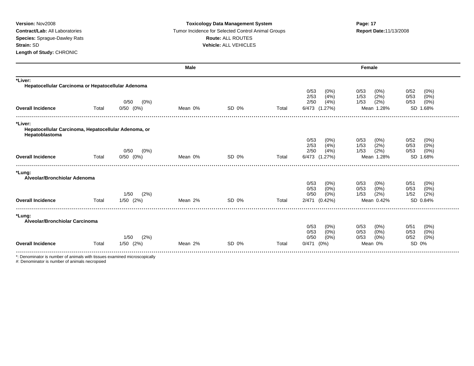### **Version:** Nov2008 **Toxicology Data Management System Page: 17 Contract/Lab:** All Laboratories **Tumor Incidence for Selected Control Animal Groups <b>Report Date:**11/13/2008 **Species:** Sprague-Dawley Rats **Route:** ALL ROUTES **Strain:** SD **Vehicle:** ALL VEHICLES

|                                                                                   |       |                                  | Male    |       |       |                                                                    | Female                                                        |                                                             |
|-----------------------------------------------------------------------------------|-------|----------------------------------|---------|-------|-------|--------------------------------------------------------------------|---------------------------------------------------------------|-------------------------------------------------------------|
| *Liver:<br>Hepatocellular Carcinoma or Hepatocellular Adenoma                     |       |                                  |         |       |       |                                                                    |                                                               |                                                             |
| <b>Overall Incidence</b>                                                          | Total | $(0\%)$<br>0/50<br>$0/50$ $(0%)$ | Mean 0% | SD 0% | Total | 0/53<br>$(0\%)$<br>2/53<br>(4% )<br>2/50<br>(4% )<br>6/473 (1.27%) | 0/53<br>$(0\%)$<br>(2%)<br>1/53<br>(2%)<br>1/53<br>Mean 1.28% | 0/52<br>(0%)<br>0/53<br>(0%)<br>(0%)<br>0/53<br>SD 1.68%    |
| *Liver:<br>Hepatocellular Carcinoma, Hepatocellular Adenoma, or<br>Hepatoblastoma |       |                                  |         |       |       |                                                                    |                                                               |                                                             |
| <b>Overall Incidence</b>                                                          | Total | 0/50<br>$(0\%)$<br>$0/50$ $(0%)$ | Mean 0% | SD 0% | Total | 0/53<br>$(0\%)$<br>2/53<br>(4% )<br>2/50<br>(4% )<br>6/473 (1.27%) | 0/53<br>$(0\%)$<br>(2%)<br>1/53<br>(2%)<br>1/53<br>Mean 1.28% | 0/52<br>(0%)<br>(0%)<br>0/53<br>0/53<br>$(0\%)$<br>SD 1.68% |
| *Lung:<br>Alveolar/Bronchiolar Adenoma                                            |       |                                  |         |       |       |                                                                    |                                                               |                                                             |
|                                                                                   |       | (2%)<br>1/50                     |         |       |       | 0/53<br>$(0\%)$<br>0/53<br>(0%)<br>0/50<br>(0%)                    | $(0\%)$<br>0/53<br>(0%<br>0/53<br>(2%)<br>1/53                | 0/51<br>(0%)<br>0/53<br>$(0\%)$<br>(2%)<br>1/52             |
| <b>Overall Incidence</b>                                                          | Total | $1/50$ $(2%)$                    | Mean 2% | SD 0% | Total | 2/471<br>$(0.42\%)$                                                | Mean 0.42%                                                    | SD 0.84%                                                    |
| *Lung:<br>Alveolar/Bronchiolar Carcinoma                                          |       |                                  |         |       |       |                                                                    |                                                               |                                                             |
|                                                                                   |       | (2%)<br>1/50                     |         |       |       | 0/53<br>(0%)<br>$(0\%)$<br>0/53<br>0/50<br>$(0\%)$                 | 0/53<br>(0%)<br>$(0\%)$<br>0/53<br>(0%)<br>0/53               | 0/51<br>$(0\%)$<br>0/53<br>(0%)<br>(0%)<br>0/52             |
| <b>Overall Incidence</b>                                                          | Total | $1/50$ $(2%)$                    | Mean 2% | SD 0% | Total | $0/471$ $(0%)$                                                     | Mean 0%                                                       | SD 0%                                                       |
| *: Denominator is number of animals with tissues examined microscopically         |       |                                  |         |       |       |                                                                    |                                                               |                                                             |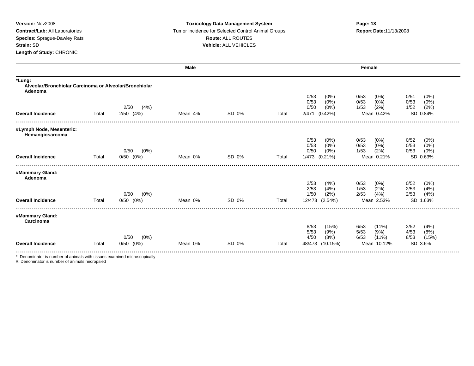### **Version:** Nov2008 **Toxicology Data Management System Page: 18 Contract/Lab:** All Laboratories **Tumor Incidence for Selected Control Animal Groups <b>Report Date:**11/13/2008 **Species:** Sprague-Dawley Rats **Route:** ALL ROUTES **Strain:** SD **Vehicle:** ALL VEHICLES

|                                                                             |       |                 | Male    |       |       | Female                                                |                                                      |                                                  |  |  |
|-----------------------------------------------------------------------------|-------|-----------------|---------|-------|-------|-------------------------------------------------------|------------------------------------------------------|--------------------------------------------------|--|--|
| *Lung:<br>Alveolar/Bronchiolar Carcinoma or Alveolar/Bronchiolar<br>Adenoma |       |                 |         |       |       |                                                       |                                                      |                                                  |  |  |
|                                                                             |       | 2/50<br>(4%)    |         |       |       | 0/53<br>$(0\%)$<br>0/53<br>$(0\%)$<br>0/50<br>$(0\%)$ | 0/53<br>$(0\%)$<br>0/53<br>$(0\%)$<br>(2%)<br>1/53   | 0/51<br>$(0\%)$<br>0/53<br>(0%)<br>(2%)<br>1/52  |  |  |
| <b>Overall Incidence</b>                                                    | Total | $2/50$ $(4%)$   | Mean 4% | SD 0% | Total | (0.42%)<br>2/471                                      | Mean 0.42%                                           | SD 0.84%                                         |  |  |
| #Lymph Node, Mesenteric:<br>Hemangiosarcoma                                 |       |                 |         |       |       |                                                       |                                                      |                                                  |  |  |
|                                                                             |       | $(0\%)$<br>0/50 |         |       |       | 0/53<br>$(0\%)$<br>0/53<br>$(0\%)$<br>0/50<br>$(0\%)$ | 0/53<br>$(0\%)$<br>$(0\%)$<br>0/53<br>(2%)<br>1/53   | 0/52<br>$(0\%)$<br>0/53<br>(0%)<br>(0%)<br>0/53  |  |  |
| <b>Overall Incidence</b>                                                    | Total | $0/50$ $(0%)$   | Mean 0% | SD 0% | Total | 1/473 (0.21%)                                         | Mean 0.21%                                           | SD 0.63%                                         |  |  |
| #Mammary Gland:<br>Adenoma                                                  |       |                 |         |       |       |                                                       |                                                      |                                                  |  |  |
|                                                                             |       | $(0\%)$<br>0/50 |         |       |       | 2/53<br>(4% )<br>2/53<br>(4% )<br>1/50<br>(2%)        | 0/53<br>(0%)<br>(2%)<br>1/53<br>(4%)<br>2/53         | 0/52<br>$(0\%)$<br>2/53<br>(4% )<br>2/53<br>(4%) |  |  |
| <b>Overall Incidence</b>                                                    | Total | $0/50$ $(0%)$   | Mean 0% | SD 0% | Total | 12/473<br>(2.54%)                                     | Mean 2.53%                                           | <b>SD</b><br>1.63%                               |  |  |
| #Mammary Gland:<br>Carcinoma                                                |       |                 |         |       |       |                                                       |                                                      |                                                  |  |  |
|                                                                             |       | $(0\%)$<br>0/50 |         |       |       | 8/53<br>(15%)<br>5/53<br>(9%)<br>4/50<br>(8%)         | 6/53<br>$(11\%)$<br>5/53<br>(9%)<br>6/53<br>$(11\%)$ | 2/52<br>(4%)<br>4/53<br>(8%)<br>(15%)<br>8/53    |  |  |
| <b>Overall Incidence</b>                                                    | Total | $0/50$ $(0%)$   | Mean 0% | SD 0% | Total | 48/473<br>(10.15%)                                    | Mean 10.12%                                          | SD 3.6%                                          |  |  |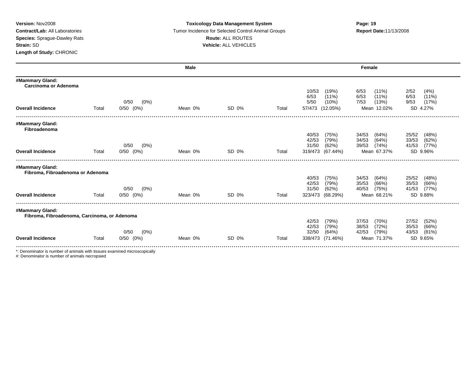### **Version:** Nov2008 **Toxicology Data Management System Page: 19 Contract/Lab:** All Laboratories Tumor Incidence for Selected Control Animal Groups **Report Date:**11/13/2008 **Species:** Sprague-Dawley Rats **Route:** ALL ROUTES **Strain:** SD **Vehicle:** ALL VEHICLES

|                                                                 |       |                 | <b>Male</b> |       |       | Female                             |                                      |                                  |  |
|-----------------------------------------------------------------|-------|-----------------|-------------|-------|-------|------------------------------------|--------------------------------------|----------------------------------|--|
| #Mammary Gland:<br>Carcinoma or Adenoma                         |       |                 |             |       |       |                                    |                                      |                                  |  |
|                                                                 |       |                 |             |       |       | 10/53<br>(19%)<br>6/53<br>$(11\%)$ | $(11\%)$<br>6/53<br>6/53<br>$(11\%)$ | 2/52<br>(4%)<br>6/53<br>$(11\%)$ |  |
|                                                                 |       | 0/50<br>$(0\%)$ |             |       |       | 5/50<br>$(10\%)$                   | 7/53<br>(13%)                        | 9/53<br>(17%)                    |  |
| <b>Overall Incidence</b>                                        | Total | $0/50$ $(0%)$   | Mean 0%     | SD 0% | Total | 57/473 (12.05%)                    | Mean 12.02%                          | SD 4.27%                         |  |
| #Mammary Gland:<br>Fibroadenoma                                 |       |                 |             |       |       |                                    |                                      |                                  |  |
|                                                                 |       |                 |             |       |       | 40/53<br>(75%)                     | 34/53<br>(64%)                       | 25/52<br>(48%)                   |  |
|                                                                 |       | 0/50<br>$(0\%)$ |             |       |       | 42/53<br>(79%)<br>31/50<br>(62%)   | 34/53<br>(64%)<br>39/53<br>(74%)     | 33/53<br>(62%)<br>(77%)<br>41/53 |  |
| <b>Overall Incidence</b>                                        | Total | $0/50$ $(0%)$   | Mean 0%     | SD 0% | Total | 319/473<br>(67.44%)                | Mean 67.37%                          | SD 9.96%                         |  |
| #Mammary Gland:                                                 |       |                 |             |       |       |                                    |                                      |                                  |  |
| Fibroma, Fibroadenoma or Adenoma                                |       |                 |             |       |       |                                    |                                      |                                  |  |
|                                                                 |       |                 |             |       |       | 40/53<br>(75%)<br>42/53<br>(79%)   | 34/53<br>(64%)<br>35/53<br>(66%)     | 25/52<br>(48%)<br>35/53<br>(66%) |  |
|                                                                 |       | 0/50<br>$(0\%)$ |             |       |       | 31/50<br>(62%)                     | 40/53<br>(75%)                       | 41/53<br>(77%)                   |  |
| <b>Overall Incidence</b>                                        | Total | $0/50$ $(0%)$   | Mean 0%     | SD 0% | Total | 323/473<br>(68.29%)                | Mean 68.21%                          | SD 9.88%                         |  |
| #Mammary Gland:<br>Fibroma, Fibroadenoma, Carcinoma, or Adenoma |       |                 |             |       |       |                                    |                                      |                                  |  |
|                                                                 |       |                 |             |       |       | 42/53<br>(79%)                     | 37/53<br>(70%)                       | 27/52<br>(52%)                   |  |
|                                                                 |       | 0/50<br>(0%)    |             |       |       | 42/53<br>(79%)<br>32/50<br>(64%)   | 38/53<br>(72%)<br>(79%)<br>42/53     | (66%)<br>35/53<br>43/53<br>(81%) |  |
| <b>Overall Incidence</b>                                        | Total | $0/50$ $(0%)$   | Mean 0%     | SD 0% | Total | 338/473<br>$(71.46\%)$             | Mean 71.37%                          | SD 9.65%                         |  |
|                                                                 |       |                 |             |       |       |                                    |                                      |                                  |  |

\*: Denominator is number of animals with tissues examined microscopically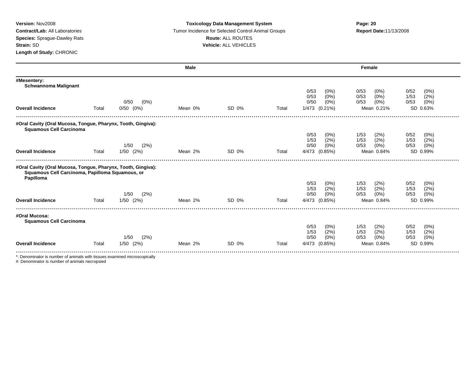### **Version:** Nov2008 **Toxicology Data Management System Page: 20 Contract/Lab:** All Laboratories **Tumor Incidence for Selected Control Animal Groups <b>Report Date:**11/13/2008 **Species:** Sprague-Dawley Rats **Route:** ALL ROUTES **Strain:** SD **Vehicle:** ALL VEHICLES

|                                                                                                                              |       |               | <b>Male</b> |       |       |                            | <b>Female</b>                   |                              |
|------------------------------------------------------------------------------------------------------------------------------|-------|---------------|-------------|-------|-------|----------------------------|---------------------------------|------------------------------|
| #Mesentery:<br><b>Schwannoma Malignant</b>                                                                                   |       |               |             |       |       |                            |                                 |                              |
|                                                                                                                              |       |               |             |       |       | 0/53<br>$(0\%)$            | 0/53<br>$(0\%)$                 | 0/52<br>(0%)                 |
|                                                                                                                              |       | (0%)<br>0/50  |             |       |       | (0%<br>0/53<br>0/50<br>(0% | $(0\%)$<br>0/53<br>(0%)<br>0/53 | 1/53<br>(2%)<br>(0%)<br>0/53 |
| <b>Overall Incidence</b>                                                                                                     | Total | $0/50$ $(0%)$ | Mean 0%     | SD 0% | Total | 1/473 (0.21%)              | Mean 0.21%                      | SD 0.63%                     |
| #Oral Cavity (Oral Mucosa, Tongue, Pharynx, Tooth, Gingiva):                                                                 |       |               |             |       |       |                            |                                 |                              |
| <b>Squamous Cell Carcinoma</b>                                                                                               |       |               |             |       |       | 0/53<br>$(0\%)$            | 1/53<br>(2%)                    | 0/52<br>$(0\%)$              |
|                                                                                                                              |       |               |             |       |       | (2%)<br>1/53               | (2%)<br>1/53                    | (2%)<br>1/53                 |
|                                                                                                                              |       | 1/50<br>(2%)  |             |       |       | 0/50<br>$(0\%)$            | (0%)<br>0/53                    | (0%)<br>0/53                 |
| <b>Overall Incidence</b>                                                                                                     | Total | $1/50$ $(2%)$ | Mean 2%     | SD 0% | Total | 4/473 (0.85%)              | Mean 0.84%                      | SD 0.99%                     |
|                                                                                                                              |       |               |             |       |       |                            |                                 |                              |
| #Oral Cavity (Oral Mucosa, Tongue, Pharynx, Tooth, Gingiva):<br>Squamous Cell Carcinoma, Papilloma Squamous, or<br>Papilloma |       |               |             |       |       |                            |                                 |                              |
|                                                                                                                              |       |               |             |       |       | 0/53<br>$(0\%)$            | (2%)<br>1/53                    | $(0\%)$<br>0/52              |
|                                                                                                                              |       |               |             |       |       | 1/53<br>(2%)               | (2% )<br>1/53                   | (2%)<br>1/53                 |
|                                                                                                                              |       | (2%)<br>1/50  |             |       |       | 0/50<br>(0%                | 0/53<br>(0%)                    | (0%)<br>0/53                 |
| <b>Overall Incidence</b>                                                                                                     | Total | 1/50 (2%)     | Mean 2%     | SD 0% | Total | (0.85%)<br>4/473           | Mean 0.84%                      | SD 0.99%                     |
| #Oral Mucosa:<br><b>Squamous Cell Carcinoma</b>                                                                              |       |               |             |       |       |                            |                                 |                              |
|                                                                                                                              |       |               |             |       |       | 0/53<br>$(0\%)$            | (2%)<br>1/53                    | 0/52<br>$(0\%)$              |
|                                                                                                                              |       |               |             |       |       | (2%)<br>1/53               | (2%)<br>1/53                    | 1/53<br>(2%)                 |
|                                                                                                                              |       | (2%)<br>1/50  |             |       |       | 0/50<br>$(0\%)$            | (0%)<br>0/53                    | 0/53<br>(0%)                 |
| <b>Overall Incidence</b>                                                                                                     | Total | $1/50$ $(2%)$ | Mean 2%     | SD 0% | Total | 4/473 (0.85%)              | Mean 0.84%                      | SD 0.99%                     |
| *: Denominator is number of animals with tissues examined microscopically                                                    |       |               |             |       |       |                            |                                 |                              |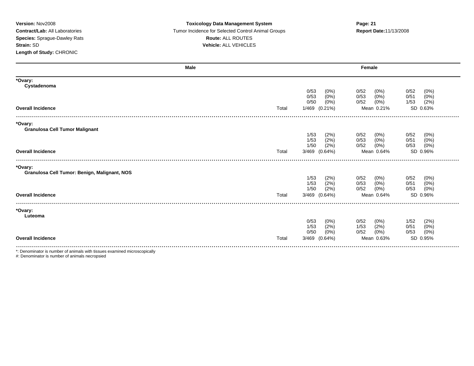### **Version:** Nov2008 **Toxicology Data Management System Page: 21 Contract/Lab:** All Laboratories Tumor Incidence for Selected Control Animal Groups **Report Date:**11/13/2008 **Species:** Sprague-Dawley Rats **Route:** ALL ROUTES **Strain:** SD **Vehicle:** ALL VEHICLES

|                                                         | <b>Male</b> |                                                       | Female                                                                                             |
|---------------------------------------------------------|-------------|-------------------------------------------------------|----------------------------------------------------------------------------------------------------|
| *Ovary:<br>Cystadenoma                                  |             |                                                       |                                                                                                    |
|                                                         |             | 0/53<br>$(0\%)$<br>0/53<br>$(0\%)$<br>0/50<br>$(0\%)$ | 0/52<br>0/52<br>(0%)<br>$(0\%)$<br>0/53<br>$(0\%)$<br>0/51<br>(0%)<br>(2%)<br>0/52<br>(0%)<br>1/53 |
| <b>Overall Incidence</b>                                | Total       | 1/469<br>$(0.21\%)$                                   | SD 0.63%<br>Mean 0.21%                                                                             |
| *Ovary:<br><b>Granulosa Cell Tumor Malignant</b>        |             |                                                       |                                                                                                    |
|                                                         |             | 1/53<br>(2%)<br>(2%)<br>1/53<br>1/50<br>(2%)          | 0/52<br>(0%)<br>0/52<br>$(0\%)$<br>(0%)<br>0/53<br>0/51<br>(0%)<br>(0%)<br>(0%)<br>0/52<br>0/53    |
| <b>Overall Incidence</b>                                | Total       | 3/469 (0.64%)                                         | SD 0.96%<br>Mean 0.64%                                                                             |
| *Ovary:<br>Granulosa Cell Tumor: Benign, Malignant, NOS |             | 1/53<br>(2%)                                          | 0/52<br>0/52<br>(0%)<br>(0%)                                                                       |
| <b>Overall Incidence</b>                                | Total       | 1/53<br>(2%)<br>1/50<br>(2%)                          | (0%)<br>$(0\%)$<br>0/53<br>0/51<br>$(0\%)$<br>$(0\%)$<br>0/52<br>0/53<br>SD 0.96%<br>Mean 0.64%    |
|                                                         |             | 3/469 (0.64%)                                         |                                                                                                    |
| *Ovary:<br>Luteoma                                      |             |                                                       |                                                                                                    |
|                                                         |             | 0/53<br>(0%)<br>(2%)<br>1/53<br>0/50<br>(0%)          | 1/52<br>(2%)<br>0/52<br>(0%)<br>(2%)<br>(0%)<br>1/53<br>0/51<br>(0%)<br>0/52<br>(0%)<br>0/53       |
| <b>Overall Incidence</b>                                | Total       | 3/469<br>$(0.64\%)$                                   | SD 0.95%<br>Mean 0.63%                                                                             |
|                                                         |             |                                                       |                                                                                                    |

\*: Denominator is number of animals with tissues examined microscopically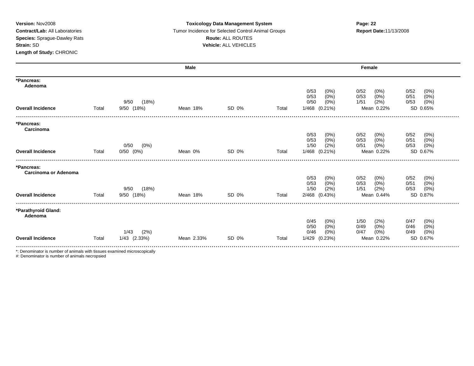### **Version:** Nov2008 **Toxicology Data Management System Page: 22 Contract/Lab:** All Laboratories Tumor Incidence for Selected Control Animal Groups **Report Date:**11/13/2008 **Species:** Sprague-Dawley Rats **Route:** ALL ROUTES **Strain:** SD **Vehicle:** ALL VEHICLES

|                                |       |                 | Male       |       |       |                                    | Female                                         |                    |
|--------------------------------|-------|-----------------|------------|-------|-------|------------------------------------|------------------------------------------------|--------------------|
| *Pancreas:<br>Adenoma          |       |                 |            |       |       |                                    |                                                |                    |
|                                |       |                 |            |       |       | 0/53<br>$(0\%)$<br>0/53<br>$(0\%)$ | 0/52<br>0/52<br>$(0\%)$<br>(0%<br>0/53<br>0/51 | $(0\%)$<br>$(0\%)$ |
|                                |       | 9/50<br>(18%)   |            |       |       | 0/50<br>$(0\%)$                    | (2%)<br>1/51<br>0/53                           | $(0\%)$            |
| <b>Overall Incidence</b>       | Total | 9/50 (18%)      | Mean 18%   | SD 0% | Total | 1/468<br>$(0.21\%)$                | SD 0.65%<br>Mean 0.22%                         |                    |
| *Pancreas:<br>Carcinoma        |       |                 |            |       |       |                                    |                                                |                    |
|                                |       |                 |            |       |       | 0/53<br>$(0\%)$                    | 0/52<br>0/52<br>(0%                            | (0%)               |
|                                |       | $(0\%)$<br>0/50 |            |       |       | (0%<br>0/53<br>(2%)<br>1/50        | 0/53<br>(0%<br>0/51<br>$(0\%)$<br>0/51<br>0/53 | $(0\%)$<br>(0%)    |
| <b>Overall Incidence</b>       | Total | $0/50$ $(0%)$   | Mean 0%    | SD 0% | Total | 1/468 (0.21%)                      | SD 0.67%<br>Mean 0.22%                         |                    |
| *Pancreas:                     |       |                 |            |       |       |                                    |                                                |                    |
| Carcinoma or Adenoma           |       |                 |            |       |       | 0/53<br>(0%)                       | 0/52<br>0/52<br>$(0\%)$                        | $(0\%)$            |
|                                |       |                 |            |       |       | $(0\%)$<br>0/53                    | 0/53<br>$(0\%)$<br>0/51                        | (0%)               |
|                                |       | 9/50<br>(18%)   |            |       |       | (2%)<br>1/50                       | 1/51<br>(2%)<br>0/53                           | $(0\%)$            |
| <b>Overall Incidence</b>       | Total | 9/50 (18%)      | Mean 18%   | SD 0% | Total | 2/468 (0.43%)                      | SD 0.87%<br>Mean 0.44%                         |                    |
| *Parathyroid Gland:<br>Adenoma |       |                 |            |       |       |                                    |                                                |                    |
|                                |       |                 |            |       |       | 0/45<br>(0%)                       | 0/47<br>1/50<br>(2%                            | $(0\%)$            |
|                                |       | (2%)<br>1/43    |            |       |       | 0/50<br>$(0\%)$<br>0/46<br>(0%)    | (0%<br>0/46<br>0/49<br>0/47<br>$(0\%)$<br>0/49 | (0%)<br>$(0\%)$    |
| <b>Overall Incidence</b>       | Total | 1/43 (2.33%)    | Mean 2.33% | SD 0% | Total | 1/429<br>(0.23%)                   | SD 0.67%<br>Mean 0.22%                         |                    |

\*: Denominator is number of animals with tissues examined microscopically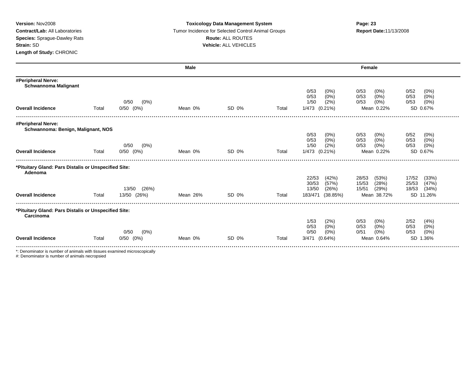### **Version:** Nov2008 **Toxicology Data Management System Page: 23 Contract/Lab:** All Laboratories Tumor Incidence for Selected Control Animal Groups **Report Date:**11/13/2008 **Species:** Sprague-Dawley Rats **Route:** ALL ROUTES **Strain:** SD **Vehicle:** ALL VEHICLES

|                                                                   |       |                 | <b>Male</b> |       |       |                                    | Female                             |                              |  |
|-------------------------------------------------------------------|-------|-----------------|-------------|-------|-------|------------------------------------|------------------------------------|------------------------------|--|
| #Peripheral Nerve:<br><b>Schwannoma Malignant</b>                 |       |                 |             |       |       |                                    |                                    |                              |  |
|                                                                   |       |                 |             |       |       | 0/53<br>$(0\%)$<br>$(0\%)$<br>0/53 | 0/53<br>$(0\%)$<br>0/53<br>$(0\%)$ | 0/52<br>(0%)<br>0/53<br>(0%) |  |
|                                                                   |       | 0/50<br>$(0\%)$ |             |       |       | 1/50<br>(2%)                       | 0/53<br>(0%)                       | 0/53<br>(0%)                 |  |
| <b>Overall Incidence</b>                                          | Total | $0/50$ $(0%)$   | Mean 0%     | SD 0% | Total | 1/473 (0.21%)                      | Mean 0.22%                         | SD 0.67%                     |  |
| #Peripheral Nerve:                                                |       |                 |             |       |       |                                    |                                    |                              |  |
| Schwannoma: Benign, Malignant, NOS                                |       |                 |             |       |       | 0/53<br>(0%)                       | 0/53<br>$(0\%)$                    | 0/52<br>(0%)                 |  |
|                                                                   |       |                 |             |       |       | 0/53<br>(0%)                       | $(0\%)$<br>0/53                    | 0/53<br>(0%)                 |  |
|                                                                   |       | 0/50<br>$(0\%)$ |             |       |       | (2%)<br>1/50                       | 0/53<br>(0%)                       | 0/53<br>(0%)                 |  |
| <b>Overall Incidence</b>                                          | Total | $0/50$ $(0%)$   | Mean 0%     | SD 0% | Total | 1/473 (0.21%)                      | Mean 0.22%                         | SD 0.67%                     |  |
| *Pituitary Gland: Pars Distalis or Unspecified Site:<br>Adenoma   |       |                 |             |       |       |                                    |                                    |                              |  |
|                                                                   |       |                 |             |       |       | 22/53<br>(42%)                     | 28/53<br>(53%)                     | 17/52<br>(33%)               |  |
|                                                                   |       |                 |             |       |       | 30/53<br>(57%)                     | 15/53<br>(28%)                     | (47%)<br>25/53               |  |
|                                                                   |       | 13/50<br>(26%)  |             |       |       | 13/50<br>(26%)                     | 15/51<br>(29%)                     | 18/53<br>(34%)               |  |
| <b>Overall Incidence</b>                                          | Total | 13/50 (26%)     | Mean 26%    | SD 0% | Total | 183/471<br>(38.85%)                | Mean 38.72%                        | SD 11.26%                    |  |
| *Pituitary Gland: Pars Distalis or Unspecified Site:<br>Carcinoma |       |                 |             |       |       |                                    |                                    |                              |  |
|                                                                   |       |                 |             |       |       | 1/53<br>(2%)                       | 0/53<br>$(0\%)$                    | 2/52<br>(4% )                |  |
|                                                                   |       |                 |             |       |       | 0/53<br>$(0\%)$                    | $(0\%)$<br>0/53                    | (0%)<br>0/53                 |  |
|                                                                   |       | 0/50<br>$(0\%)$ |             |       |       | 0/50<br>$(0\%)$                    | 0/51<br>$(0\%)$                    | (0%)<br>0/53                 |  |
| <b>Overall Incidence</b>                                          | Total | $0/50$ $(0%)$   | Mean 0%     | SD 0% | Total | $(0.64\%)$<br>3/471                | Mean 0.64%                         | <b>SD</b><br>1.36%           |  |

\*: Denominator is number of animals with tissues examined microscopically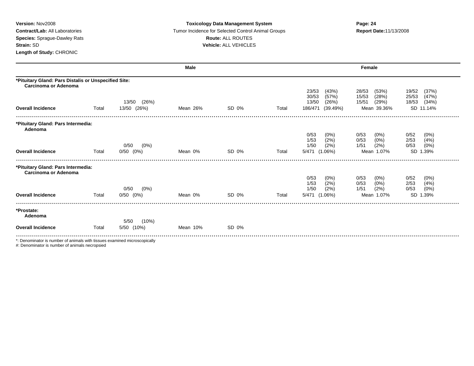### **Version:** Nov2008 **Toxicology Data Management System Page: 24 Contract/Lab:** All Laboratories **Tumor Incidence for Selected Control Animal Groups <b>Report Date:**11/13/2008 **Species:** Sprague-Dawley Rats **Route:** ALL ROUTES **Strain:** SD **Vehicle:** ALL VEHICLES

|                                                                              |       |                 | <b>Male</b> |       |       |                                  | Female                           |                                  |
|------------------------------------------------------------------------------|-------|-----------------|-------------|-------|-------|----------------------------------|----------------------------------|----------------------------------|
| *Pituitary Gland: Pars Distalis or Unspecified Site:<br>Carcinoma or Adenoma |       |                 |             |       |       |                                  |                                  |                                  |
|                                                                              |       |                 |             |       |       | 23/53<br>(43%)<br>30/53<br>(57%) | 28/53<br>(53%)<br>15/53<br>(28%) | (37%)<br>19/52<br>(47%)<br>25/53 |
|                                                                              |       | (26%)<br>13/50  |             |       |       | (26%)<br>13/50                   | 15/51<br>(29%)                   | 18/53<br>(34%)                   |
| <b>Overall Incidence</b>                                                     | Total | 13/50 (26%)     | Mean 26%    | SD 0% | Total | 186/471<br>(39.49%)              | Mean 39.36%                      | SD 11.14%                        |
|                                                                              |       |                 |             |       |       |                                  |                                  |                                  |
| *Pituitary Gland: Pars Intermedia:<br>Adenoma                                |       |                 |             |       |       |                                  |                                  |                                  |
|                                                                              |       |                 |             |       |       | 0/53<br>$(0\%)$                  | $(0\%)$<br>0/53                  | 0/52<br>$(0\%)$                  |
|                                                                              |       | 0/50<br>$(0\%)$ |             |       |       | (2%)<br>1/53<br>(2%)<br>1/50     | (0%)<br>0/53<br>(2%)<br>1/51     | 2/53<br>(4%)<br>0/53<br>(0%)     |
| <b>Overall Incidence</b>                                                     | Total | $0/50$ $(0%)$   | Mean 0%     | SD 0% | Total | 5/471 (1.06%)                    | Mean 1.07%                       | SD 1.39%                         |
| *Pituitary Gland: Pars Intermedia:                                           |       |                 |             |       |       |                                  |                                  |                                  |
| Carcinoma or Adenoma                                                         |       |                 |             |       |       |                                  |                                  |                                  |
|                                                                              |       |                 |             |       |       | 0/53<br>$(0\%)$                  | $(0\%)$<br>0/53                  | 0/52<br>$(0\%)$                  |
|                                                                              |       | $(0\%)$<br>0/50 |             |       |       | (2%)<br>1/53<br>(2%)<br>1/50     | (0% )<br>0/53<br>(2%)<br>1/51    | 2/53<br>(4%)<br>0/53<br>(0%)     |
| <b>Overall Incidence</b>                                                     | Total | $0/50$ $(0%)$   | Mean 0%     | SD 0% | Total | 5/471 (1.06%)                    | Mean 1.07%                       | SD 1.39%                         |
| *Prostate:                                                                   |       |                 |             |       |       |                                  |                                  |                                  |
| Adenoma                                                                      |       |                 |             |       |       |                                  |                                  |                                  |
|                                                                              |       | (10%)<br>5/50   |             |       |       |                                  |                                  |                                  |
| <b>Overall Incidence</b>                                                     | Total | 5/50 (10%)      | Mean 10%    | SD 0% |       |                                  |                                  |                                  |
| *: Denominator is number of animals with tissues examined microscopically    |       |                 |             |       |       |                                  |                                  |                                  |
|                                                                              |       |                 |             |       |       |                                  |                                  |                                  |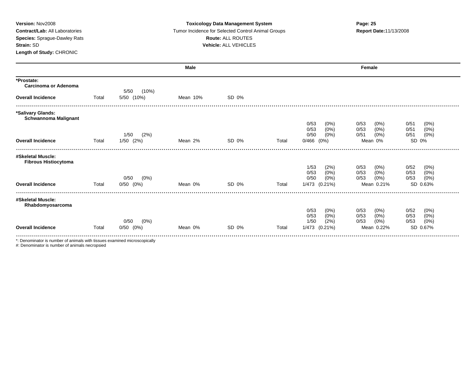| Version: Nov2008<br><b>Contract/Lab: All Laboratories</b><br>Species: Sprague-Dawley Rats<br>Strain: SD<br>Length of Study: CHRONIC |       | <b>Toxicology Data Management System</b><br>Tumor Incidence for Selected Control Animal Groups<br>Route: ALL ROUTES<br>Vehicle: ALL VEHICLES |             |       | Page: 25<br>Report Date: 11/13/2008 |                                                                      |                                                                     |                                                             |
|-------------------------------------------------------------------------------------------------------------------------------------|-------|----------------------------------------------------------------------------------------------------------------------------------------------|-------------|-------|-------------------------------------|----------------------------------------------------------------------|---------------------------------------------------------------------|-------------------------------------------------------------|
|                                                                                                                                     |       |                                                                                                                                              | <b>Male</b> |       |                                     |                                                                      | Female                                                              |                                                             |
| *Prostate:<br><b>Carcinoma or Adenoma</b><br><b>Overall Incidence</b>                                                               | Total | 5/50<br>(10%)<br>5/50 (10%)                                                                                                                  | Mean 10%    | SD 0% |                                     |                                                                      |                                                                     |                                                             |
| *Salivary Glands:<br><b>Schwannoma Malignant</b><br><b>Overall Incidence</b>                                                        | Total | 1/50<br>(2%)<br>$1/50$ $(2%)$                                                                                                                | Mean 2%     | SD 0% | Total                               | 0/53<br>$(0\%)$<br>(0%)<br>0/53<br>0/50<br>$(0\%)$<br>$0/466$ $(0%)$ | 0/53<br>$(0\%)$<br>$(0\%)$<br>0/53<br>(0%)<br>0/51<br>Mean 0%       | 0/51<br>(0%)<br>(0%)<br>0/51<br>(0%)<br>0/51<br>SD 0%       |
| #Skeletal Muscle:<br><b>Fibrous Histiocytoma</b><br><b>Overall Incidence</b>                                                        | Total | 0/50<br>$(0\%)$<br>$0/50$ $(0%)$                                                                                                             | Mean 0%     | SD 0% | Total                               | (2%)<br>1/53<br>(0% )<br>0/53<br>0/50<br>$(0\%)$<br>1/473 (0.21%)    | 0/53<br>$(0\%)$<br>0/53<br>$(0\%)$<br>0/53<br>$(0\%)$<br>Mean 0.21% | 0/52<br>(0%)<br>0/53<br>(0%)<br>0/53<br>(0%)<br>SD 0.63%    |
| #Skeletal Muscle:<br>Rhabdomyosarcoma<br><b>Overall Incidence</b>                                                                   | Total | 0/50<br>(0%)<br>$0/50$ $(0%)$                                                                                                                | Mean 0%     | SD 0% | Total                               | 0/53<br>(0%)<br>(0%)<br>0/53<br>1/50<br>(2%)<br>1/473 (0.21%)        | 0/53<br>$(0\%)$<br>(0%)<br>0/53<br>0/53<br>$(0\%)$<br>Mean 0.22%    | 0/52<br>$(0\%)$<br>0/53<br>(0%)<br>0/53<br>(0%)<br>SD 0.67% |
| *: Denominator is number of animals with tissues examined microscopically                                                           |       |                                                                                                                                              |             |       |                                     |                                                                      |                                                                     |                                                             |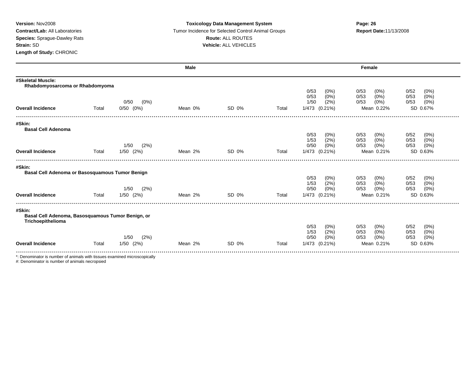### **Version:** Nov2008 **Toxicology Data Management System Page: 26 Contract/Lab:** All Laboratories **Tumor Incidence for Selected Control Animal Groups <b>Report Date:**11/13/2008 **Species:** Sprague-Dawley Rats **Route:** ALL ROUTES **Strain:** SD **Vehicle:** ALL VEHICLES

|                                                                           |       |                 | <b>Male</b> |       |       |                                 | Female                          |                      |
|---------------------------------------------------------------------------|-------|-----------------|-------------|-------|-------|---------------------------------|---------------------------------|----------------------|
| #Skeletal Muscle:<br>Rhabdomyosarcoma or Rhabdomyoma                      |       |                 |             |       |       |                                 |                                 |                      |
|                                                                           |       |                 |             |       |       | 0/53<br>(0%)                    | 0/53<br>$(0\%)$                 | 0/52<br>(0%)         |
|                                                                           |       |                 |             |       |       | $(0\%)$<br>0/53                 | 0/53<br>(0%)                    | 0/53<br>(0%)         |
|                                                                           |       | $(0\%)$<br>0/50 |             |       |       | 1/50<br>(2%)                    | 0/53<br>(0%)                    | 0/53<br>(0%)         |
| <b>Overall Incidence</b>                                                  | Total | $0/50$ $(0%)$   | Mean 0%     | SD 0% | Total | 1/473 (0.21%)                   | Mean 0.22%                      | SD 0.67%             |
| #Skin:                                                                    |       |                 |             |       |       |                                 |                                 |                      |
| <b>Basal Cell Adenoma</b>                                                 |       |                 |             |       |       |                                 |                                 |                      |
|                                                                           |       |                 |             |       |       | 0/53<br>$(0\%)$                 | 0/53<br>(0%)                    | 0/52<br>$(0\%)$      |
|                                                                           |       | (2%)<br>1/50    |             |       |       | (2%)<br>1/53<br>0/50<br>$(0\%)$ | (0%)<br>0/53<br>0/53<br>$(0\%)$ | 0/53<br>(0%)<br>0/53 |
| <b>Overall Incidence</b>                                                  |       |                 | Mean 2%     | SD 0% |       |                                 | Mean 0.21%                      | (0%)                 |
|                                                                           | Total | $1/50$ $(2%)$   |             |       | Total | 1/473 (0.21%)                   |                                 | SD 0.63%             |
| #Skin:                                                                    |       |                 |             |       |       |                                 |                                 |                      |
| Basal Cell Adenoma or Basosquamous Tumor Benign                           |       |                 |             |       |       | 0/53<br>$(0\%)$                 | 0/53<br>$(0\%)$                 | 0/52<br>$(0\%)$      |
|                                                                           |       |                 |             |       |       | (2%)<br>1/53                    | (0%)<br>0/53                    | 0/53<br>(0%)         |
|                                                                           |       | (2%)<br>1/50    |             |       |       | 0/50<br>(0%)                    | $(0\%)$<br>0/53                 | 0/53<br>(0%)         |
| <b>Overall Incidence</b>                                                  | Total | $1/50$ $(2%)$   | Mean 2%     | SD 0% | Total | 1/473 (0.21%)                   | Mean 0.21%                      | SD 0.63%             |
| #Skin:                                                                    |       |                 |             |       |       |                                 |                                 |                      |
| Basal Cell Adenoma, Basosquamous Tumor Benign, or                         |       |                 |             |       |       |                                 |                                 |                      |
| Trichoepithelioma                                                         |       |                 |             |       |       |                                 |                                 |                      |
|                                                                           |       |                 |             |       |       | 0/53<br>$(0\%)$                 | 0/53<br>(0%)                    | 0/52<br>$(0\%)$      |
|                                                                           |       | 1/50            |             |       |       | (2%)<br>1/53<br>0/50<br>$(0\%)$ | 0/53<br>(0%)<br>0/53            | 0/53<br>(0%)<br>0/53 |
|                                                                           |       | (2%)            |             |       |       |                                 | $(0\%)$                         | (0%)                 |
| <b>Overall Incidence</b>                                                  | Total | $1/50$ $(2%)$   | Mean 2%     | SD 0% | Total | 1/473 (0.21%)                   | Mean 0.21%                      | SD 0.63%             |
| *: Denominator is number of animals with tissues examined microscopically |       |                 |             |       |       |                                 |                                 |                      |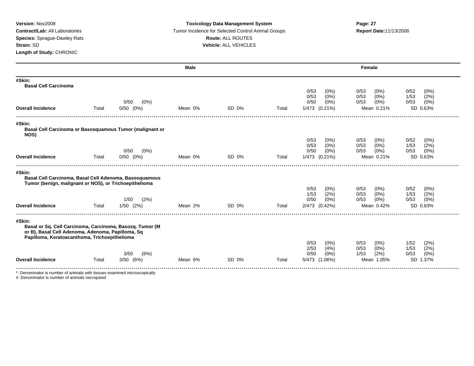### **Version:** Nov2008 **Toxicology Data Management System Page: 27 Contract/Lab:** All Laboratories **Tumor Incidence for Selected Control Animal Groups <b>Report Date:**11/13/2008 **Species:** Sprague-Dawley Rats **Route:** ALL ROUTES **Strain:** SD **Vehicle:** ALL VEHICLES

|                                                                                                                         |       |                           | Male    |       |       |                                 | Female                          |                                 |
|-------------------------------------------------------------------------------------------------------------------------|-------|---------------------------|---------|-------|-------|---------------------------------|---------------------------------|---------------------------------|
| #Skin:<br><b>Basal Cell Carcinoma</b>                                                                                   |       |                           |         |       |       |                                 |                                 |                                 |
|                                                                                                                         |       |                           |         |       |       | 0/53<br>$(0\%)$                 | 0/53<br>(0%)                    | 0/52<br>$(0\%)$                 |
|                                                                                                                         |       | 0/50<br>$(0\%)$           |         |       |       | 0/53<br>$(0\%)$<br>0/50<br>(0%) | 0/53<br>(0%)<br>0/53<br>(0%)    | 1/53<br>(2%)<br>(0%)<br>0/53    |
| <b>Overall Incidence</b>                                                                                                | Total | $0/50$ $(0%)$             | Mean 0% | SD 0% | Total | 1/473 (0.21%)                   | Mean 0.21%                      | SD 0.63%                        |
| #Skin:                                                                                                                  |       |                           |         |       |       |                                 |                                 |                                 |
| Basal Cell Carcinoma or Basosquamous Tumor (malignant or<br>NOS)                                                        |       |                           |         |       |       |                                 |                                 |                                 |
|                                                                                                                         |       |                           |         |       |       | 0/53<br>$(0\%)$                 | 0/53<br>(0%)                    | 0/52<br>$(0\%)$                 |
|                                                                                                                         |       | 0/50<br>$(0\%)$           |         |       |       | (0% )<br>0/53<br>0/50<br>(0%)   | (0%)<br>0/53<br>$(0\%)$<br>0/53 | (2%)<br>1/53<br>$(0\%)$<br>0/53 |
| <b>Overall Incidence</b>                                                                                                | Total | $0/50$ $(0%)$             | Mean 0% | SD 0% | Total | 1/473 (0.21%)                   | Mean 0.21%                      | SD 0.63%                        |
| #Skin:                                                                                                                  |       |                           |         |       |       |                                 |                                 |                                 |
| Basal Cell Carcinoma, Basal Cell Adenoma, Basosquamous<br>Tumor (benign, malignant or NOS), or Trichoepithelioma        |       |                           |         |       |       |                                 |                                 |                                 |
|                                                                                                                         |       |                           |         |       |       | 0/53<br>$(0\%)$                 | 0/53<br>(0%)                    | 0/52<br>$(0\%)$                 |
|                                                                                                                         |       |                           |         |       |       | (2%)<br>1/53                    | 0/53<br>(0%)                    | (2%)<br>1/53                    |
| <b>Overall Incidence</b>                                                                                                | Total | (2%)<br>1/50<br>1/50 (2%) | Mean 2% | SD 0% | Total | 0/50<br>(0%)<br>2/473 (0.42%)   | 0/53<br>$(0\%)$<br>Mean 0.42%   | 0/53<br>(0%)<br>SD 0.83%        |
|                                                                                                                         |       |                           |         |       |       |                                 |                                 |                                 |
| #Skin:<br>Basal or Sq. Cell Carcinoma, Carcinoma, Basosq. Tumor (M<br>or B), Basal Cell Adenoma, Adenoma, Papilloma, Sq |       |                           |         |       |       |                                 |                                 |                                 |
| Papilloma, Keratoacanthoma, Trichoepithelioma                                                                           |       |                           |         |       |       | 0/53<br>(0%)                    | 0/53<br>(0%)                    | (2%)<br>1/52                    |
|                                                                                                                         |       |                           |         |       |       | 2/53<br>(4%)                    | $(0\%)$<br>0/53                 | 1/53<br>(2%)                    |
|                                                                                                                         |       | 3/50<br>(6%)              |         |       |       | 0/50<br>(0%)                    | (2%)<br>1/53                    | 0/53<br>(0%)                    |
| <b>Overall Incidence</b>                                                                                                | Total | $3/50$ $(6%)$             | Mean 6% | SD 0% | Total | 5/473 (1.06%)                   | Mean 1.05%                      | SD 1.37%                        |

\*: Denominator is number of animals with tissues examined microscopically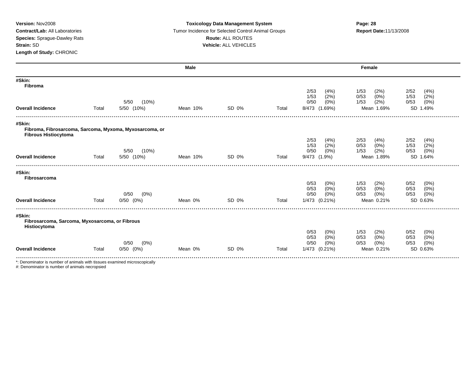### **Version:** Nov2008 **Toxicology Data Management System Page: 28 Contract/Lab:** All Laboratories **Tumor Incidence for Selected Control Animal Groups <b>Report Date:**11/13/2008 **Species:** Sprague-Dawley Rats **Route:** ALL ROUTES **Strain:** SD **Vehicle:** ALL VEHICLES

|                                                                                        |       |                 | <b>Male</b> |       |       |                 | Female          |                 |
|----------------------------------------------------------------------------------------|-------|-----------------|-------------|-------|-------|-----------------|-----------------|-----------------|
| #Skin:<br><b>Fibroma</b>                                                               |       |                 |             |       |       |                 |                 |                 |
|                                                                                        |       |                 |             |       |       | 2/53<br>(4% )   | 1/53<br>(2%)    | 2/52<br>(4% )   |
|                                                                                        |       |                 |             |       |       | (2%)<br>1/53    | $(0\%)$<br>0/53 | (2%)<br>1/53    |
|                                                                                        |       | (10%)<br>5/50   |             |       |       | 0/50<br>$(0\%)$ | (2%)<br>1/53    | 0/53<br>(0%)    |
| <b>Overall Incidence</b>                                                               | Total | 5/50 (10%)      | Mean 10%    | SD 0% | Total | 8/473 (1.69%)   | Mean 1.69%      | SD 1.49%        |
| #Skin:                                                                                 |       |                 |             |       |       |                 |                 |                 |
| Fibroma, Fibrosarcoma, Sarcoma, Myxoma, Myxosarcoma, or<br><b>Fibrous Histiocytoma</b> |       |                 |             |       |       |                 |                 |                 |
|                                                                                        |       |                 |             |       |       | 2/53<br>(4% )   | 2/53<br>(4% )   | 2/52<br>(4% )   |
|                                                                                        |       |                 |             |       |       | 1/53<br>(2%)    | 0/53<br>$(0\%)$ | 1/53<br>(2%)    |
|                                                                                        |       | 5/50<br>(10%)   |             |       |       | 0/50<br>$(0\%)$ | (2%)<br>1/53    | (0%<br>0/53     |
| <b>Overall Incidence</b>                                                               | Total | 5/50 (10%)      | Mean 10%    | SD 0% | Total | 9/473 (1.9%)    | Mean 1.89%      | SD 1.64%        |
| #Skin:<br>Fibrosarcoma                                                                 |       |                 |             |       |       |                 |                 |                 |
|                                                                                        |       |                 |             |       |       | 0/53<br>$(0\%)$ | (2%)<br>1/53    | 0/52<br>$(0\%)$ |
|                                                                                        |       |                 |             |       |       | 0/53<br>$(0\%)$ | (0%)<br>0/53    | (0%)<br>0/53    |
|                                                                                        |       | 0/50<br>$(0\%)$ |             |       |       | 0/50<br>$(0\%)$ | 0/53<br>$(0\%)$ | (0%)<br>0/53    |
| <b>Overall Incidence</b>                                                               | Total | $0/50$ $(0%)$   | Mean 0%     | SD 0% | Total | 1/473 (0.21%)   | Mean 0.21%      | SD 0.63%        |
| #Skin:                                                                                 |       |                 |             |       |       |                 |                 |                 |
| Fibrosarcoma, Sarcoma, Myxosarcoma, or Fibrous<br>Histiocytoma                         |       |                 |             |       |       |                 |                 |                 |
|                                                                                        |       |                 |             |       |       | 0/53<br>$(0\%)$ | 1/53<br>(2%)    | 0/52<br>(0%)    |
|                                                                                        |       |                 |             |       |       | $(0\%)$<br>0/53 | 0/53<br>$(0\%)$ | 0/53<br>(0%)    |
|                                                                                        |       | 0/50<br>(0%)    |             |       |       | 0/50<br>$(0\%)$ | 0/53<br>$(0\%)$ | (0%)<br>0/53    |
| <b>Overall Incidence</b>                                                               | Total | $0/50$ $(0%)$   | Mean 0%     | SD 0% | Total | 1/473 (0.21%)   | Mean 0.21%      | SD 0.63%        |
|                                                                                        |       |                 |             |       |       |                 |                 |                 |

\*: Denominator is number of animals with tissues examined microscopically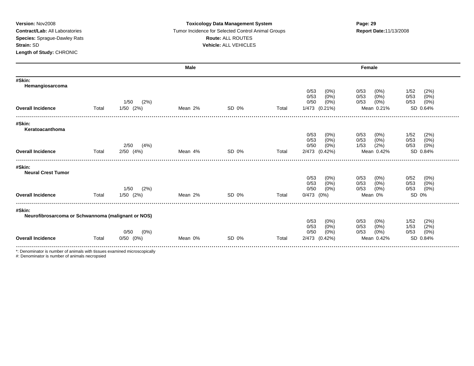### **Version:** Nov2008 **Toxicology Data Management System Page: 29 Contract/Lab:** All Laboratories Tumor Incidence for Selected Control Animal Groups **Report Date:**11/13/2008 **Species:** Sprague-Dawley Rats **Route:** ALL ROUTES **Strain:** SD **Vehicle:** ALL VEHICLES

|                                                    |       |                 | <b>Male</b> |       |       |                 | Female          |                 |
|----------------------------------------------------|-------|-----------------|-------------|-------|-------|-----------------|-----------------|-----------------|
| #Skin:<br>Hemangiosarcoma                          |       |                 |             |       |       |                 |                 |                 |
|                                                    |       |                 |             |       |       | 0/53<br>(0%)    | 0/53<br>(0%)    | (2%)<br>1/52    |
|                                                    |       |                 |             |       |       | 0/53<br>$(0\%)$ | 0/53<br>$(0\%)$ | $(0\%)$<br>0/53 |
|                                                    |       | (2%)<br>1/50    |             |       |       | 0/50<br>$(0\%)$ | $(0\%)$<br>0/53 | (0%)<br>0/53    |
| <b>Overall Incidence</b>                           | Total | $1/50$ $(2%)$   | Mean 2%     | SD 0% | Total | 1/473 (0.21%)   | Mean 0.21%      | SD 0.64%        |
| #Skin:<br>Keratoacanthoma                          |       |                 |             |       |       |                 |                 |                 |
|                                                    |       |                 |             |       |       | 0/53<br>(0%)    | 0/53<br>$(0\%)$ | 1/52<br>(2%)    |
|                                                    |       |                 |             |       |       | 0/53<br>$(0\%)$ | 0/53<br>$(0\%)$ | 0/53<br>(0%)    |
|                                                    |       | (4%)<br>2/50    |             |       |       | $(0\%)$<br>0/50 | 1/53<br>(2%)    | (0%)<br>0/53    |
| <b>Overall Incidence</b>                           | Total | $2/50$ $(4%)$   | Mean 4%     | SD 0% | Total | 2/473 (0.42%)   | Mean 0.42%      | SD 0.84%        |
| #Skin:<br><b>Neural Crest Tumor</b>                |       |                 |             |       |       |                 |                 |                 |
|                                                    |       |                 |             |       |       | 0/53<br>(0%)    | 0/53<br>(0%)    | 0/52<br>(0%)    |
|                                                    |       |                 |             |       |       | 0/53<br>$(0\%)$ | $(0\%)$<br>0/53 | (0%)<br>0/53    |
|                                                    |       | (2%)<br>1/50    |             |       |       | 0/50<br>(0%)    | 0/53<br>$(0\%)$ | (0%)<br>0/53    |
| <b>Overall Incidence</b>                           | Total | $1/50$ $(2%)$   | Mean 2%     | SD 0% | Total | $0/473$ $(0%)$  | Mean 0%         | SD 0%           |
| #Skin:                                             |       |                 |             |       |       |                 |                 |                 |
| Neurofibrosarcoma or Schwannoma (malignant or NOS) |       |                 |             |       |       |                 |                 |                 |
|                                                    |       |                 |             |       |       | 0/53<br>(0%)    | $(0\%)$<br>0/53 | 1/52<br>(2%)    |
|                                                    |       |                 |             |       |       | (0%)<br>0/53    | (0%)<br>0/53    | (2%)<br>1/53    |
|                                                    |       | 0/50<br>$(0\%)$ |             |       |       | 0/50<br>$(0\%)$ | 0/53<br>$(0\%)$ | (0%)<br>0/53    |
| <b>Overall Incidence</b>                           | Total | $0/50$ $(0%)$   | Mean 0%     | SD 0% | Total | 2/473 (0.42%)   | Mean 0.42%      | SD 0.84%        |
|                                                    |       |                 |             |       |       |                 |                 |                 |

\*: Denominator is number of animals with tissues examined microscopically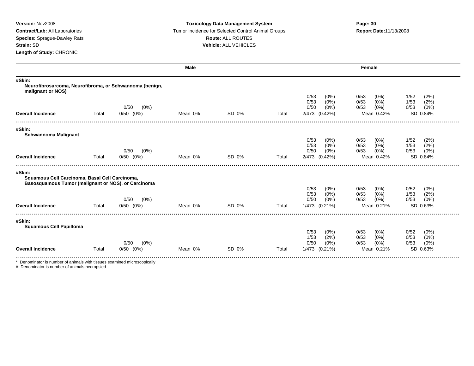### **Version:** Nov2008 **Toxicology Data Management System Page: 30 Contract/Lab:** All Laboratories **Tumor Incidence for Selected Control Animal Groups <b>Report Date:**11/13/2008 **Species:** Sprague-Dawley Rats **Route:** ALL ROUTES **Strain:** SD **Vehicle:** ALL VEHICLES

|                                                                                                                 |       |                 | <b>Male</b> |       |       |                      |                               | Female                                                |                                                 |
|-----------------------------------------------------------------------------------------------------------------|-------|-----------------|-------------|-------|-------|----------------------|-------------------------------|-------------------------------------------------------|-------------------------------------------------|
| #Skin:<br>Neurofibrosarcoma, Neurofibroma, or Schwannoma (benign,<br>malignant or NOS)                          |       |                 |             |       |       |                      |                               |                                                       |                                                 |
|                                                                                                                 |       | 0/50<br>$(0\%)$ |             |       |       | 0/53<br>0/53<br>0/50 | $(0\%)$<br>$(0\%)$<br>$(0\%)$ | 0/53<br>(0%)<br>0/53<br>$(0\%)$<br>(0%)<br>0/53       | (2%)<br>1/52<br>(2%)<br>1/53<br>(0%)<br>0/53    |
| <b>Overall Incidence</b>                                                                                        | Total | $0/50$ $(0%)$   | Mean 0%     | SD 0% | Total | 2/473 (0.42%)        |                               | Mean 0.42%                                            | SD 0.84%                                        |
| #Skin:<br><b>Schwannoma Malignant</b>                                                                           |       |                 |             |       |       |                      |                               |                                                       |                                                 |
|                                                                                                                 |       | 0/50<br>(0%)    |             |       |       | 0/53<br>0/53<br>0/50 | $(0\%)$<br>$(0\%)$<br>$(0\%)$ | 0/53<br>$(0\%)$<br>0/53<br>$(0\%)$<br>0/53<br>$(0\%)$ | (2%)<br>1/52<br>1/53<br>(2%)<br>(0%)<br>0/53    |
| <b>Overall Incidence</b>                                                                                        | Total | $0/50$ $(0%)$   | Mean 0%     | SD 0% | Total | 2/473 (0.42%)        |                               | Mean 0.42%                                            | SD 0.84%                                        |
| #Skin:<br>Squamous Cell Carcinoma, Basal Cell Carcinoma,<br>Basosquamous Tumor (malignant or NOS), or Carcinoma |       |                 |             |       |       |                      |                               |                                                       |                                                 |
|                                                                                                                 |       |                 |             |       |       | 0/53<br>0/53         | $(0\%)$                       | 0/53<br>(0%)<br>0/53                                  | 0/52<br>(0%)<br>1/53                            |
|                                                                                                                 |       | 0/50<br>(0%)    |             |       |       | 0/50                 | $(0\%)$<br>$(0\%)$            | $(0\%)$<br>0/53<br>(0%)                               | (2%)<br>(0%)<br>0/53                            |
| <b>Overall Incidence</b>                                                                                        | Total | $0/50$ $(0%)$   | Mean 0%     | SD 0% | Total | 1/473 (0.21%)        |                               | Mean 0.21%                                            | SD 0.63%                                        |
| #Skin:<br><b>Squamous Cell Papilloma</b>                                                                        |       |                 |             |       |       |                      |                               |                                                       |                                                 |
|                                                                                                                 |       | (0%)<br>0/50    |             |       |       | 0/53<br>1/53<br>0/50 | $(0\%)$<br>(2%)<br>$(0\%)$    | 0/53<br>(0%)<br>0/53<br>$(0\%)$<br>0/53<br>$(0\%)$    | 0/52<br>(0%)<br>0/53<br>$(0\%)$<br>(0%)<br>0/53 |
| <b>Overall Incidence</b>                                                                                        | Total | $0/50$ $(0%)$   | Mean 0%     | SD 0% | Total | 1/473 (0.21%)        |                               | Mean 0.21%                                            | SD 0.63%                                        |

\*: Denominator is number of animals with tissues examined microscopically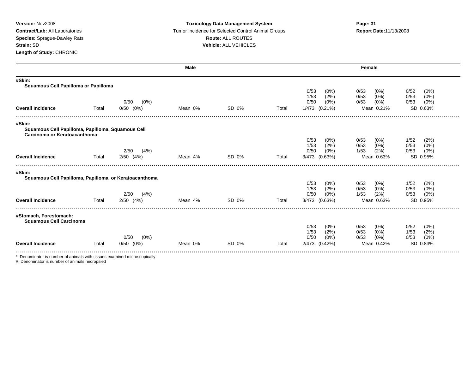#### **Version:** Nov2008 **Toxicology Data Management System Page: 31 Contract/Lab:** All Laboratories **Tumor Incidence for Selected Control Animal Groups <b>Report Date:**11/13/2008 **Species:** Sprague-Dawley Rats **Route:** ALL ROUTES **Strain:** SD **Vehicle:** ALL VEHICLES

|                                                                           |       |                                  | <b>Male</b> |       |       | Female              |                               |                          |  |  |
|---------------------------------------------------------------------------|-------|----------------------------------|-------------|-------|-------|---------------------|-------------------------------|--------------------------|--|--|
| #Skin:<br>Squamous Cell Papilloma or Papilloma                            |       |                                  |             |       |       |                     |                               |                          |  |  |
|                                                                           |       |                                  |             |       |       | 0/53<br>(0%)        | 0/53<br>(0%                   | 0/52<br>(0%)             |  |  |
|                                                                           |       |                                  |             |       |       | (2%)<br>1/53        | $(0\%)$<br>0/53               | 0/53<br>(0%)             |  |  |
|                                                                           |       | 0/50<br>$(0\%)$<br>$0/50$ $(0%)$ | Mean 0%     | SD 0% |       | 0/50<br>$(0\%)$     | $(0\%)$<br>0/53<br>Mean 0.21% | 0/53<br>(0%)<br>SD 0.63% |  |  |
| <b>Overall Incidence</b>                                                  | Total |                                  |             |       | Total | 1/473 (0.21%)       |                               |                          |  |  |
| #Skin:                                                                    |       |                                  |             |       |       |                     |                               |                          |  |  |
| Squamous Cell Papilloma, Papilloma, Squamous Cell                         |       |                                  |             |       |       |                     |                               |                          |  |  |
| Carcinoma or Keratoacanthoma                                              |       |                                  |             |       |       | 0/53<br>$(0\%)$     | 0/53<br>(0%                   | 1/52<br>(2%)             |  |  |
|                                                                           |       |                                  |             |       |       | (2%)<br>1/53        | (0%<br>0/53                   | (0%)<br>0/53             |  |  |
|                                                                           |       | (4%)<br>2/50                     |             |       |       | 0/50<br>$(0\%)$     | (2%)<br>1/53                  | 0/53<br>(0%)             |  |  |
| <b>Overall Incidence</b>                                                  | Total | $2/50$ $(4%)$                    | Mean 4%     | SD 0% | Total | 3/473 (0.63%)       | Mean 0.63%                    | SD 0.95%                 |  |  |
|                                                                           |       |                                  |             |       |       |                     |                               |                          |  |  |
| #Skin:<br>Squamous Cell Papilloma, Papilloma, or Keratoacanthoma          |       |                                  |             |       |       |                     |                               |                          |  |  |
|                                                                           |       |                                  |             |       |       | 0/53<br>(0%)        | 0/53<br>(0%                   | 1/52<br>(2%)             |  |  |
|                                                                           |       |                                  |             |       |       | (2%)<br>1/53        | (0%)<br>0/53                  | 0/53<br>(0%)             |  |  |
|                                                                           |       | (4%)<br>2/50                     |             |       |       | 0/50<br>$(0\%)$     | (2%)<br>1/53                  | 0/53<br>$(0\%)$          |  |  |
| <b>Overall Incidence</b>                                                  | Total | $2/50$ $(4%)$                    | Mean 4%     | SD 0% | Total | 3/473<br>(0.63%)    | Mean 0.63%                    | SD 0.95%                 |  |  |
| #Stomach, Forestomach:                                                    |       |                                  |             |       |       |                     |                               |                          |  |  |
| <b>Squamous Cell Carcinoma</b>                                            |       |                                  |             |       |       |                     |                               |                          |  |  |
|                                                                           |       |                                  |             |       |       | 0/53<br>$(0\%)$     | 0/53<br>(0%                   | 0/52<br>(0%)             |  |  |
|                                                                           |       |                                  |             |       |       | 1/53<br>(2%)        | 0/53<br>(0%                   | 1/53<br>(2%)             |  |  |
|                                                                           |       | (0%)<br>0/50                     |             |       |       | 0/50<br>(0%)        | 0/53<br>$(0\%)$               | 0/53<br>(0%)             |  |  |
| <b>Overall Incidence</b>                                                  | Total | $0/50$ $(0%)$                    | Mean 0%     | SD 0% | Total | $(0.42\%)$<br>2/473 | Mean 0.42%                    | SD 0.83%                 |  |  |
| *: Denominator is number of animals with tissues examined microscopically |       |                                  |             |       |       |                     |                               |                          |  |  |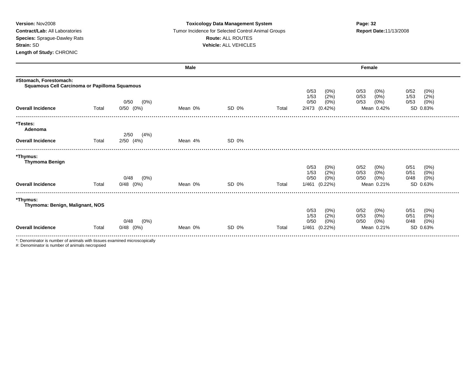### **Version:** Nov2008 **Toxicology Data Management System Page: 32 Contract/Lab:** All Laboratories **Tumor Incidence for Selected Control Animal Groups <b>Report Date:**11/13/2008 **Species:** Sprague-Dawley Rats **Route:** ALL ROUTES **Strain:** SD **Vehicle:** ALL VEHICLES

|                                                                         |       |                                  | <b>Male</b> |       |       | Female                                                           |                                                                     |                                                          |  |
|-------------------------------------------------------------------------|-------|----------------------------------|-------------|-------|-------|------------------------------------------------------------------|---------------------------------------------------------------------|----------------------------------------------------------|--|
| #Stomach, Forestomach:<br>Squamous Cell Carcinoma or Papilloma Squamous |       |                                  |             |       |       |                                                                  |                                                                     |                                                          |  |
| <b>Overall Incidence</b>                                                | Total | 0/50<br>$(0\%)$<br>$0/50$ $(0%)$ | Mean 0%     | SD 0% | Total | 0/53<br>(0%<br>1/53<br>(2%)<br>0/50<br>(0%<br>2/473 (0.42%)      | 0/53<br>$(0\%)$<br>0/53<br>(0%)<br>0/53<br>(0%)<br>Mean 0.42%       | 0/52<br>(0%)<br>(2%)<br>1/53<br>(0%)<br>0/53<br>SD 0.83% |  |
| *Testes:<br>Adenoma                                                     |       | 2/50<br>(4%)                     |             |       |       |                                                                  |                                                                     |                                                          |  |
| <b>Overall Incidence</b>                                                | Total | $2/50$ $(4%)$                    | Mean 4%     | SD 0% |       |                                                                  |                                                                     |                                                          |  |
| *Thymus:<br><b>Thymoma Benign</b><br><b>Overall Incidence</b>           | Total | (0%)<br>0/48<br>$0/48$ $(0%)$    | Mean 0%     | SD 0% | Total | 0/53<br>(0%<br>1/53<br>(2%<br>0/50<br>(0%<br>1/461<br>$(0.22\%)$ | 0/52<br>$(0\%)$<br>0/53<br>$(0\%)$<br>0/50<br>$(0\%)$<br>Mean 0.21% | 0/51<br>(0%)<br>(0%)<br>0/51<br>(0%)<br>0/48<br>SD 0.63% |  |
| *Thymus:<br>Thymoma: Benign, Malignant, NOS                             |       |                                  |             |       |       | 0/53<br>(0%)<br>1/53<br>(2%)                                     | 0/52<br>$(0\%)$<br>0/53<br>(0%)                                     | 0/51<br>(0%)<br>0/51<br>(0%)                             |  |
| <b>Overall Incidence</b>                                                | Total | 0/48<br>$(0\%)$<br>$0/48$ $(0%)$ | Mean 0%     | SD 0% | Total | 0/50<br>(0%<br>1/461<br>$(0.22\%)$                               | 0/50<br>$(0\%)$<br>Mean 0.21%                                       | (0%)<br>0/48<br>SD 0.63%                                 |  |

\*: Denominator is number of animals with tissues examined microscopically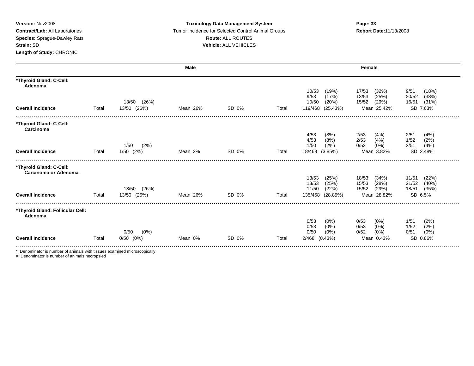### **Version:** Nov2008 **Toxicology Data Management System Page: 33 Contract/Lab:** All Laboratories Tumor Incidence for Selected Control Animal Groups **Report Date:**11/13/2008 **Species:** Sprague-Dawley Rats **Route:** ALL ROUTES **Strain:** SD **Vehicle:** ALL VEHICLES

|                                                        |       |                                  | <b>Male</b> |       |       |                                       | Female                             |                                 |
|--------------------------------------------------------|-------|----------------------------------|-------------|-------|-------|---------------------------------------|------------------------------------|---------------------------------|
| *Thyroid Gland: C-Cell:<br>Adenoma                     |       |                                  |             |       |       |                                       |                                    |                                 |
|                                                        |       |                                  |             |       |       | 10/53<br>(19%)<br>9/53<br>(17%)       | 17/53<br>(32%)<br>13/53<br>(25%)   | (18%)<br>9/51<br>20/52<br>(38%) |
|                                                        |       | (26%)<br>13/50                   |             |       |       | 10/50<br>(20%)                        | 15/52<br>(29%)                     | 16/51<br>(31%)                  |
| <b>Overall Incidence</b>                               | Total | 13/50 (26%)                      | Mean 26%    | SD 0% | Total | 119/468<br>(25.43%)                   | Mean 25.42%                        | SD 7.63%                        |
| *Thyroid Gland: C-Cell:<br>Carcinoma                   |       |                                  |             |       |       |                                       |                                    |                                 |
|                                                        |       |                                  |             |       |       | 4/53<br>(8%)                          | 2/53<br>(4%                        | 2/51<br>(4% )                   |
|                                                        |       | 1/50<br>(2%)                     |             |       |       | (8%)<br>4/53<br>(2%)<br>1/50          | 2/53<br>(4% )<br>0/52<br>$(0\%)$   | 1/52<br>(2%)<br>(4%)<br>2/51    |
| <b>Overall Incidence</b>                               | Total | $1/50$ $(2%)$                    | Mean 2%     | SD 0% | Total | 18/468<br>(3.85%)                     | Mean 3.82%                         | SD 2.48%                        |
| *Thyroid Gland: C-Cell:<br><b>Carcinoma or Adenoma</b> |       |                                  |             |       |       |                                       |                                    |                                 |
|                                                        |       |                                  |             |       |       | 13/53<br>(25%)                        | 18/53<br>(34%)                     | 11/51<br>(22%)                  |
|                                                        |       |                                  |             |       |       | 13/53<br>(25%)                        | (28%)<br>15/53                     | (40%<br>21/52                   |
| <b>Overall Incidence</b>                               | Total | (26%)<br>13/50<br>13/50<br>(26%) | Mean 26%    | SD 0% | Total | 11/50<br>(22%)<br>135/468<br>(28.85%) | 15/52<br>(29%)<br>Mean 28.82%      | 18/51<br>(35%)<br>SD 6.5%       |
|                                                        |       |                                  |             |       |       |                                       |                                    |                                 |
| *Thyroid Gland: Follicular Cell:<br>Adenoma            |       |                                  |             |       |       |                                       |                                    |                                 |
|                                                        |       |                                  |             |       |       | 0/53<br>$(0\%)$                       | $(0\%)$<br>0/53                    | (2%)<br>1/51                    |
|                                                        |       | (0%)<br>0/50                     |             |       |       | $(0\%)$<br>0/53<br>0/50<br>$(0\%)$    | $(0\%)$<br>0/53<br>0/52<br>$(0\%)$ | (2%)<br>1/52<br>(0%)<br>0/51    |
| <b>Overall Incidence</b>                               | Total | 0/50<br>$(0\%)$                  | Mean 0%     | SD 0% | Total | 2/468<br>(0.43%)                      | Mean 0.43%                         | SD 0.86%                        |
|                                                        |       |                                  |             |       |       |                                       |                                    |                                 |

\*: Denominator is number of animals with tissues examined microscopically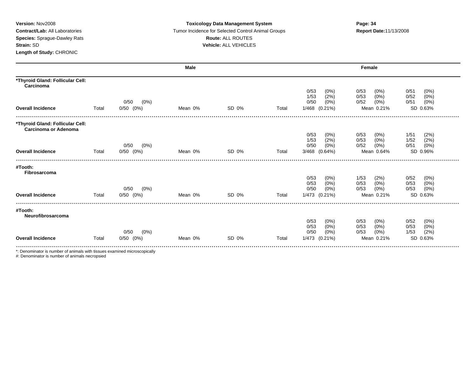### **Version:** Nov2008 **Toxicology Data Management System Page: 34 Contract/Lab:** All Laboratories Tumor Incidence for Selected Control Animal Groups **Report Date:**11/13/2008 **Species:** Sprague-Dawley Rats **Route:** ALL ROUTES **Strain:** SD **Vehicle:** ALL VEHICLES

|                                                          |       |                                  | <b>Male</b> |       |       |                                    | Female                          |                               |
|----------------------------------------------------------|-------|----------------------------------|-------------|-------|-------|------------------------------------|---------------------------------|-------------------------------|
| *Thyroid Gland: Follicular Cell:<br>Carcinoma            |       |                                  |             |       |       |                                    |                                 |                               |
|                                                          |       |                                  |             |       |       | 0/53<br>(0%<br>1/53                | 0/53<br>(0%)                    | (0%)<br>0/51<br>0/52          |
|                                                          |       | $(0\%)$<br>0/50                  |             |       |       | (2%<br>0/50<br>(0%                 | (0%<br>0/53<br>0/52<br>(0%)     | (0%)<br>(0%)<br>0/51          |
| <b>Overall Incidence</b>                                 | Total | $0/50$ $(0%)$                    | Mean 0%     | SD 0% | Total | 1/468 (0.21%)                      | Mean 0.21%                      | SD 0.63%                      |
| *Thyroid Gland: Follicular Cell:<br>Carcinoma or Adenoma |       |                                  |             |       |       |                                    |                                 |                               |
|                                                          |       |                                  |             |       |       | 0/53<br>(0%                        | 0/53<br>(0%)                    | 1/51<br>(2%)                  |
|                                                          |       |                                  |             |       |       | (2%<br>1/53                        | $(0\%)$<br>0/53                 | (2%)<br>1/52                  |
| <b>Overall Incidence</b>                                 | Total | $(0\%)$<br>0/50<br>$0/50$ $(0%)$ | Mean 0%     | SD 0% | Total | 0/50<br>$(0\%)$<br>3/468 (0.64%)   | 0/52<br>$(0\%)$<br>Mean 0.64%   | (0%)<br>0/51<br>SD 0.96%      |
|                                                          |       |                                  |             |       |       |                                    |                                 |                               |
| #Tooth:                                                  |       |                                  |             |       |       |                                    |                                 |                               |
| Fibrosarcoma                                             |       |                                  |             |       |       | 0/53<br>$(0\%)$                    | 1/53<br>(2%)                    | 0/52<br>(0%)                  |
|                                                          |       |                                  |             |       |       | $(0\%)$<br>0/53                    | 0/53<br>$(0\%)$                 | 0/53<br>(0%)                  |
|                                                          |       | 0/50<br>$(0\%)$                  |             |       |       | 0/50<br>$(0\%)$                    | 0/53<br>$(0\%)$                 | 0/53<br>(0%)                  |
| <b>Overall Incidence</b>                                 | Total | $0/50$ $(0%)$                    | Mean 0%     | SD 0% | Total | 1/473 (0.21%)                      | Mean 0.21%                      | SD 0.63%                      |
| #Tooth:<br>Neurofibrosarcoma                             |       |                                  |             |       |       |                                    |                                 |                               |
|                                                          |       |                                  |             |       |       | 0/53<br>(0%)                       | 0/53<br>(0%)                    | 0/52<br>$(0\%)$               |
|                                                          |       | $(0\%)$<br>0/50                  |             |       |       | 0/53<br>$(0\%)$<br>0/50<br>$(0\%)$ | 0/53<br>$(0\%)$<br>(0%)<br>0/53 | (0% )<br>0/53<br>(2%)<br>1/53 |
| <b>Overall Incidence</b>                                 | Total | $0/50$ $(0%)$                    | Mean 0%     | SD 0% | Total | 1/473 (0.21%)                      | Mean 0.21%                      | SD 0.63%                      |
|                                                          |       |                                  |             |       |       |                                    |                                 |                               |

\*: Denominator is number of animals with tissues examined microscopically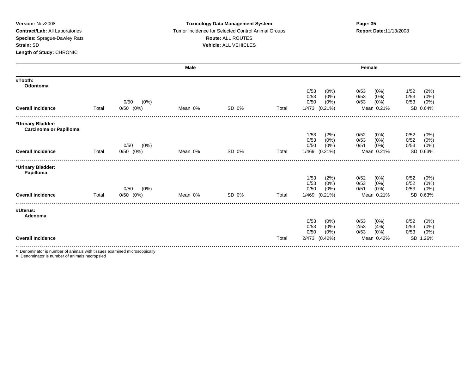#### **Version:** Nov2008 **Toxicology Data Management System Page: 35 Contract/Lab:** All Laboratories Tumor Incidence for Selected Control Animal Groups **Report Date:**11/13/2008 **Species:** Sprague-Dawley Rats **Route:** ALL ROUTES **Strain:** SD **Vehicle:** ALL VEHICLES

|                                                                           |       |                                  | <b>Male</b> |       |       |                                    | Female                             |                              |
|---------------------------------------------------------------------------|-------|----------------------------------|-------------|-------|-------|------------------------------------|------------------------------------|------------------------------|
| #Tooth:<br>Odontoma                                                       |       |                                  |             |       |       |                                    |                                    |                              |
|                                                                           |       |                                  |             |       |       | 0/53<br>$(0\%)$<br>0/53<br>(0%     | 0/53<br>$(0\%)$<br>0/53<br>$(0\%)$ | 1/52<br>(2%)<br>0/53<br>(0%) |
|                                                                           |       | (0%)<br>0/50                     |             |       |       | 0/50<br>$(0\%)$                    | 0/53<br>$(0\%)$                    | 0/53<br>(0%)                 |
| <b>Overall Incidence</b>                                                  | Total | $0/50$ $(0%)$                    | Mean 0%     | SD 0% | Total | 1/473 (0.21%)                      | Mean 0.21%                         | SD 0.64%                     |
|                                                                           |       |                                  |             |       |       |                                    |                                    |                              |
| *Urinary Bladder:<br><b>Carcinoma or Papilloma</b>                        |       |                                  |             |       |       |                                    |                                    |                              |
|                                                                           |       |                                  |             |       |       | 1/53<br>(2%                        | $(0\%)$<br>0/52                    | 0/52<br>(0%)                 |
|                                                                           |       | (0%)<br>0/50                     |             |       |       | $(0\%)$<br>0/53<br>$(0\%)$<br>0/50 | $(0\%)$<br>0/53<br>$(0\%)$<br>0/51 | 0/52<br>(0%)<br>0/53<br>(0%) |
| <b>Overall Incidence</b>                                                  | Total | $0/50$ $(0%)$                    | Mean 0%     | SD 0% | Total | 1/469 (0.21%)                      | Mean 0.21%                         | SD 0.63%                     |
| *Urinary Bladder:<br>Papilloma                                            |       |                                  |             |       |       |                                    |                                    |                              |
|                                                                           |       |                                  |             |       |       | 1/53<br>(2%)                       | 0/52<br>$(0\%)$                    | 0/52<br>(0%)                 |
|                                                                           |       |                                  |             |       |       | (0%<br>0/53                        | $(0\%)$<br>0/53                    | 0/52<br>(0% )                |
| <b>Overall Incidence</b>                                                  | Total | 0/50<br>$(0\%)$<br>$0/50$ $(0%)$ | Mean 0%     | SD 0% | Total | (0%<br>0/50<br>1/469 (0.21%)       | (0%)<br>0/51<br>Mean 0.21%         | (0%)<br>0/53<br>SD 0.63%     |
|                                                                           |       |                                  |             |       |       |                                    |                                    |                              |
| #Uterus:<br>Adenoma                                                       |       |                                  |             |       |       |                                    |                                    |                              |
|                                                                           |       |                                  |             |       |       | 0/53<br>$(0\%)$                    | 0/53<br>(0%)                       | 0/52<br>(0%)                 |
|                                                                           |       |                                  |             |       |       | 0/53<br>$(0\%)$<br>0/50<br>$(0\%)$ | (4% )<br>2/53<br>0/53<br>(0%)      | 0/53<br>(0%)<br>0/53         |
| <b>Overall Incidence</b>                                                  |       |                                  |             |       | Total | 2/473<br>(0.42%)                   | Mean 0.42%                         | (0% )<br><b>SD</b><br>1.26%  |
|                                                                           |       |                                  |             |       |       |                                    |                                    |                              |
| *: Denominator is number of animals with tissues examined microscopically |       |                                  |             |       |       |                                    |                                    |                              |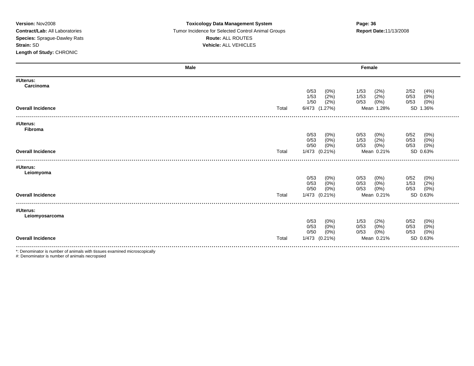### **Version:** Nov2008 **Toxicology Data Management System Page: 36 Contract/Lab:** All Laboratories Tumor Incidence for Selected Control Animal Groups **Report Date:**11/13/2008 **Species:** Sprague-Dawley Rats **Route:** ALL ROUTES **Strain:** SD **Vehicle:** ALL VEHICLES

| Male                       |       |                     | Female                          |
|----------------------------|-------|---------------------|---------------------------------|
| #Uterus:<br>Carcinoma      |       |                     |                                 |
|                            |       | 0/53<br>$(0\%)$     | 2/52<br>(4% )<br>1/53<br>(2%)   |
|                            |       | (2%)<br>1/53        | (2%)<br>0/53<br>1/53<br>(0%)    |
|                            |       | 1/50<br>(2%)        | (0%)<br>(0%)<br>0/53<br>0/53    |
| <b>Overall Incidence</b>   | Total | 6/473 (1.27%)       | SD 1.36%<br>Mean 1.28%          |
| #Uterus:                   |       |                     |                                 |
| Fibroma                    |       |                     |                                 |
|                            |       | 0/53<br>$(0\%)$     | 0/52<br>(0%)<br>0/53<br>(0%)    |
|                            |       | 0/53<br>$(0\%)$     | (2%)<br>0/53<br>(0%)<br>1/53    |
|                            |       | 0/50<br>$(0\%)$     | (0%)<br>0/53<br>$(0\%)$<br>0/53 |
| <b>Overall Incidence</b>   | Total | 1/473 (0.21%)       | SD 0.63%<br>Mean 0.21%          |
|                            |       |                     |                                 |
| #Uterus:<br>Leiomyoma      |       |                     |                                 |
|                            |       | 0/53<br>$(0\%)$     | 0/52<br>(0%)<br>0/53<br>(0%)    |
|                            |       | (0%)<br>0/53        | $(0\%)$<br>(2%)<br>1/53<br>0/53 |
|                            |       | 0/50<br>$(0\%)$     | (0%)<br>(0%)<br>0/53<br>0/53    |
| <b>Overall Incidence</b>   | Total | 1/473 (0.21%)       | SD 0.63%<br>Mean 0.21%          |
|                            |       |                     |                                 |
| #Uterus:<br>Leiomyosarcoma |       |                     |                                 |
|                            |       | 0/53<br>$(0\%)$     | 0/52<br>(0%)<br>1/53<br>(2%)    |
|                            |       | 0/53<br>(0%)        | (0% )<br>0/53<br>0/53<br>(0%)   |
|                            |       | 0/50<br>$(0\%)$     | (0%)<br>0/53<br>(0%)<br>0/53    |
| <b>Overall Incidence</b>   | Total | 1/473<br>$(0.21\%)$ | SD 0.63%<br>Mean 0.21%          |
|                            |       |                     |                                 |

\*: Denominator is number of animals with tissues examined microscopically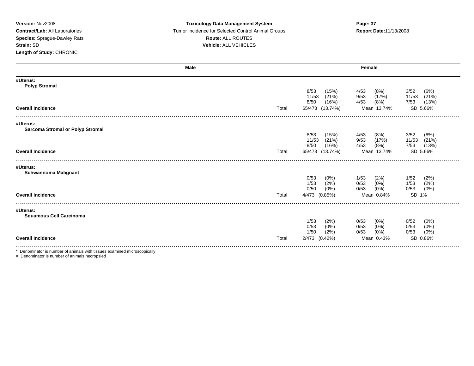### **Version:** Nov2008 **Toxicology Data Management System Page: 37 Contract/Lab:** All Laboratories Tumor Incidence for Selected Control Animal Groups **Report Date:**11/13/2008 **Species:** Sprague-Dawley Rats **Route:** ALL ROUTES **Strain:** SD **Vehicle:** ALL VEHICLES

| <b>Male</b>                                |       |                 |                 | Female         |  |  |  |
|--------------------------------------------|-------|-----------------|-----------------|----------------|--|--|--|
| #Uterus:<br><b>Polyp Stromal</b>           |       |                 |                 |                |  |  |  |
|                                            |       | 8/53<br>(15%)   | 4/53<br>(8%)    | 3/52<br>(6%)   |  |  |  |
|                                            |       | 11/53<br>(21%)  | 9/53<br>(17%)   | (21%)<br>11/53 |  |  |  |
|                                            |       | 8/50<br>(16%)   | 4/53<br>(8%)    | (13%)<br>7/53  |  |  |  |
| <b>Overall Incidence</b>                   | Total | 65/473 (13.74%) | Mean 13.74%     | SD 5.66%       |  |  |  |
|                                            |       |                 |                 |                |  |  |  |
| #Uterus:                                   |       |                 |                 |                |  |  |  |
| <b>Sarcoma Stromal or Polyp Stromal</b>    |       | 8/53<br>(15%)   | 4/53<br>(8%)    | 3/52<br>(6%)   |  |  |  |
|                                            |       | 11/53<br>(21%)  | 9/53<br>(17%)   | 11/53<br>(21%) |  |  |  |
|                                            |       | 8/50<br>(16%)   | 4/53<br>(8%)    | (13%)<br>7/53  |  |  |  |
| <b>Overall Incidence</b>                   | Total | 65/473 (13.74%) | Mean 13.74%     | SD 5.66%       |  |  |  |
|                                            |       |                 |                 |                |  |  |  |
|                                            |       |                 |                 |                |  |  |  |
| #Uterus:<br><b>Schwannoma Malignant</b>    |       |                 |                 |                |  |  |  |
|                                            |       | 0/53<br>$(0\%)$ | (2%)<br>1/53    | 1/52<br>(2%)   |  |  |  |
|                                            |       | (2%)<br>1/53    | $(0\%)$<br>0/53 | (2%)<br>1/53   |  |  |  |
|                                            |       | 0/50<br>$(0\%)$ | (0%)<br>0/53    | (0%)<br>0/53   |  |  |  |
| <b>Overall Incidence</b>                   | Total | 4/473 (0.85%)   | Mean 0.84%      | SD 1%          |  |  |  |
|                                            |       |                 |                 |                |  |  |  |
| #Uterus:<br><b>Squamous Cell Carcinoma</b> |       |                 |                 |                |  |  |  |
|                                            |       | 1/53<br>(2%)    | 0/53<br>(0%)    | 0/52<br>(0%)   |  |  |  |
|                                            |       | 0/53<br>$(0\%)$ | 0/53<br>$(0\%)$ | 0/53<br>(0%)   |  |  |  |
|                                            |       | (2%)<br>1/50    | 0/53<br>$(0\%)$ | 0/53<br>(0% )  |  |  |  |
| <b>Overall Incidence</b>                   | Total | 2/473 (0.42%)   | Mean 0.43%      | SD 0.86%       |  |  |  |
|                                            |       |                 |                 |                |  |  |  |

\*: Denominator is number of animals with tissues examined microscopically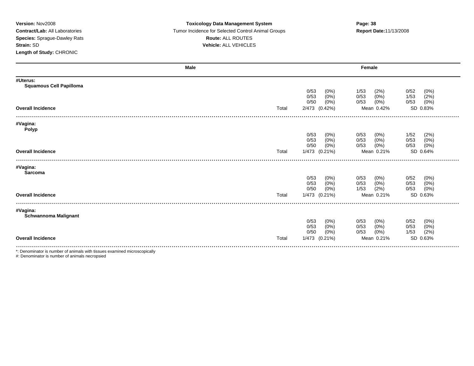### **Version:** Nov2008 **Toxicology Data Management System Page: 38 Contract/Lab:** All Laboratories Tumor Incidence for Selected Control Animal Groups **Report Date:**11/13/2008 **Species:** Sprague-Dawley Rats **Route:** ALL ROUTES **Strain:** SD **Vehicle:** ALL VEHICLES

|                                                                           | <b>Male</b> |                     | Female                          |
|---------------------------------------------------------------------------|-------------|---------------------|---------------------------------|
| #Uterus:<br><b>Squamous Cell Papilloma</b>                                |             |                     |                                 |
|                                                                           |             | 0/53<br>$(0\%)$     | 0/52<br>1/53<br>(0%)<br>(2%)    |
|                                                                           |             | $(0\%)$<br>0/53     | 0/53<br>$(0\%)$<br>1/53<br>(2%) |
|                                                                           |             | $(0\%)$<br>0/50     | $(0\%)$<br>(0%)<br>0/53<br>0/53 |
| <b>Overall Incidence</b>                                                  | Total       | 2/473 (0.42%)       | SD 0.83%<br>Mean 0.42%          |
|                                                                           |             |                     |                                 |
| #Vagina:<br><b>Polyp</b>                                                  |             |                     |                                 |
|                                                                           |             | 0/53<br>$(0\%)$     | (2%)<br>0/53<br>$(0\%)$<br>1/52 |
|                                                                           |             | (0% )<br>0/53       | 0/53<br>$(0\%)$<br>0/53<br>(0%) |
|                                                                           |             | $(0\%)$<br>0/50     | $(0\%)$<br>(0%)<br>0/53<br>0/53 |
| <b>Overall Incidence</b>                                                  | Total       | 1/473 (0.21%)       | Mean 0.21%<br>SD 0.64%          |
|                                                                           |             |                     |                                 |
| #Vagina:<br>Sarcoma                                                       |             |                     |                                 |
|                                                                           |             | 0/53<br>$(0\%)$     | 0/52<br>0/53<br>$(0\%)$<br>(0%) |
|                                                                           |             | (0% )<br>0/53       | (0% )<br>0/53<br>(0%)<br>0/53   |
|                                                                           |             | 0/50<br>$(0\%)$     | (0% )<br>1/53<br>(2%)<br>0/53   |
| <b>Overall Incidence</b>                                                  | Total       | 1/473<br>$(0.21\%)$ | SD 0.63%<br>Mean 0.21%          |
|                                                                           |             |                     |                                 |
| #Vagina:                                                                  |             |                     |                                 |
| Schwannoma Malignant                                                      |             | 0/53<br>$(0\%)$     | 0/52<br>(0%)<br>0/53<br>$(0\%)$ |
|                                                                           |             | 0/53<br>(0%)        | $(0\%)$<br>(0%)<br>0/53<br>0/53 |
|                                                                           |             | $(0\%)$<br>0/50     | (2%)<br>$(0\%)$<br>0/53<br>1/53 |
| <b>Overall Incidence</b>                                                  | Total       | 1/473 (0.21%)       | Mean 0.21%<br>SD 0.63%          |
| *; Depeminator is number of onimals with tiggues examined microsoppically |             |                     |                                 |

\*: Denominator is number of animals with tissues examined microscopically